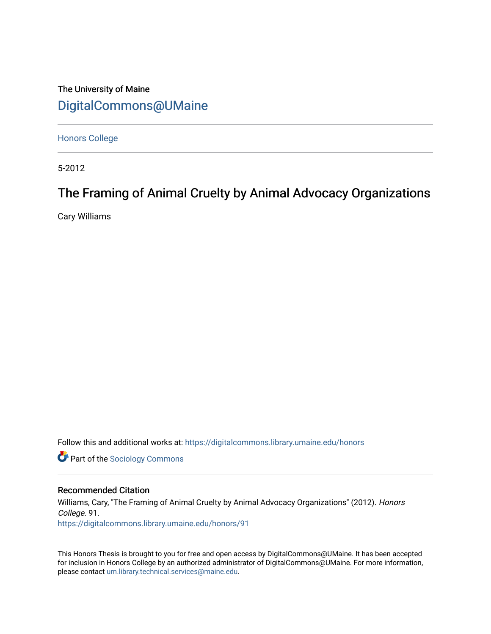# The University of Maine [DigitalCommons@UMaine](https://digitalcommons.library.umaine.edu/)

[Honors College](https://digitalcommons.library.umaine.edu/honors)

5-2012

# The Framing of Animal Cruelty by Animal Advocacy Organizations

Cary Williams

Follow this and additional works at: [https://digitalcommons.library.umaine.edu/honors](https://digitalcommons.library.umaine.edu/honors?utm_source=digitalcommons.library.umaine.edu%2Fhonors%2F91&utm_medium=PDF&utm_campaign=PDFCoverPages) 

**Part of the [Sociology Commons](http://network.bepress.com/hgg/discipline/416?utm_source=digitalcommons.library.umaine.edu%2Fhonors%2F91&utm_medium=PDF&utm_campaign=PDFCoverPages)** 

## Recommended Citation

Williams, Cary, "The Framing of Animal Cruelty by Animal Advocacy Organizations" (2012). Honors College. 91. [https://digitalcommons.library.umaine.edu/honors/91](https://digitalcommons.library.umaine.edu/honors/91?utm_source=digitalcommons.library.umaine.edu%2Fhonors%2F91&utm_medium=PDF&utm_campaign=PDFCoverPages) 

This Honors Thesis is brought to you for free and open access by DigitalCommons@UMaine. It has been accepted for inclusion in Honors College by an authorized administrator of DigitalCommons@UMaine. For more information, please contact [um.library.technical.services@maine.edu.](mailto:um.library.technical.services@maine.edu)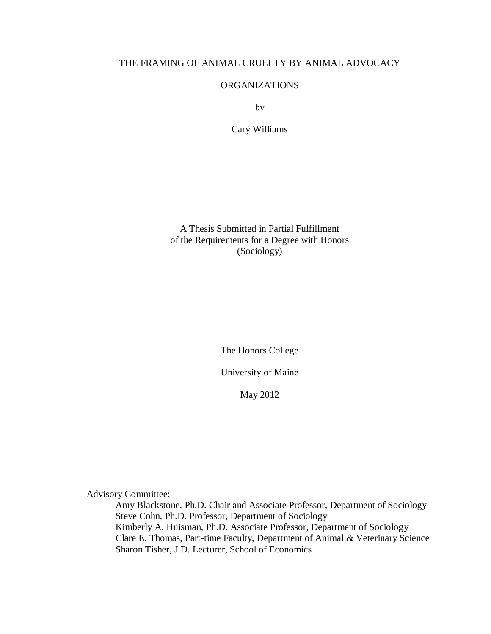# THE FRAMING OF ANIMAL CRUELTY BY ANIMAL ADVOCACY

# ORGANIZATIONS

by

Cary Williams

A Thesis Submitted in Partial Fulfillment of the Requirements for a Degree with Honors (Sociology)

The Honors College

University of Maine

May 2012

Advisory Committee:

Amy Blackstone, Ph.D. Chair and Associate Professor, Department of Sociology Steve Cohn, Ph.D. Professor, Department of Sociology Kimberly A. Huisman, Ph.D. Associate Professor, Department of Sociology Clare E. Thomas, Part-time Faculty, Department of Animal & Veterinary Science Sharon Tisher, J.D. Lecturer, School of Economics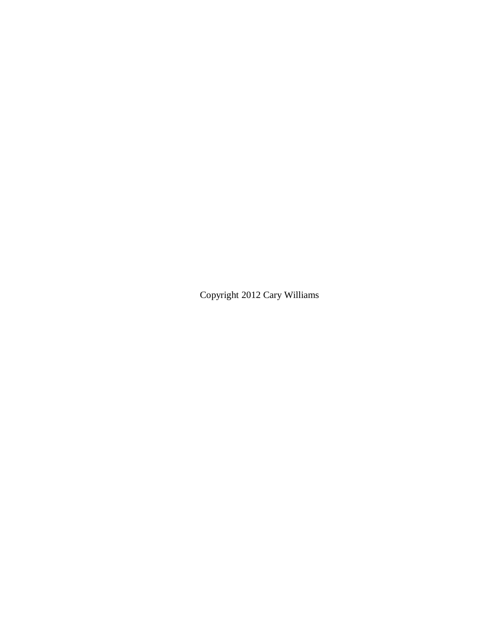Copyright 2012 Cary Williams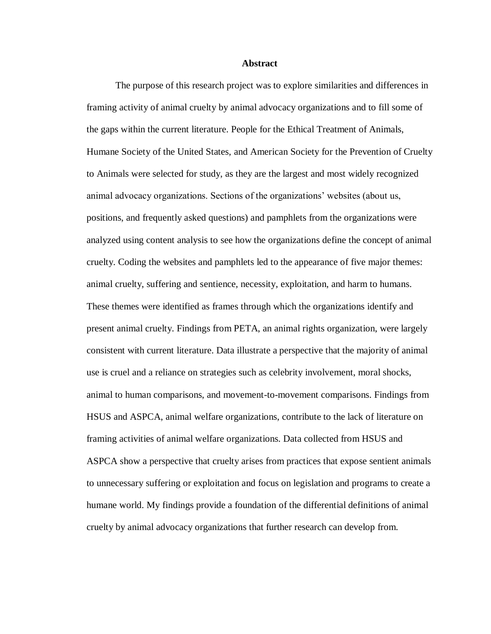#### **Abstract**

The purpose of this research project was to explore similarities and differences in framing activity of animal cruelty by animal advocacy organizations and to fill some of the gaps within the current literature. People for the Ethical Treatment of Animals, Humane Society of the United States, and American Society for the Prevention of Cruelty to Animals were selected for study, as they are the largest and most widely recognized animal advocacy organizations. Sections of the organizations' websites (about us, positions, and frequently asked questions) and pamphlets from the organizations were analyzed using content analysis to see how the organizations define the concept of animal cruelty. Coding the websites and pamphlets led to the appearance of five major themes: animal cruelty, suffering and sentience, necessity, exploitation, and harm to humans. These themes were identified as frames through which the organizations identify and present animal cruelty. Findings from PETA, an animal rights organization, were largely consistent with current literature. Data illustrate a perspective that the majority of animal use is cruel and a reliance on strategies such as celebrity involvement, moral shocks, animal to human comparisons, and movement-to-movement comparisons. Findings from HSUS and ASPCA, animal welfare organizations, contribute to the lack of literature on framing activities of animal welfare organizations. Data collected from HSUS and ASPCA show a perspective that cruelty arises from practices that expose sentient animals to unnecessary suffering or exploitation and focus on legislation and programs to create a humane world. My findings provide a foundation of the differential definitions of animal cruelty by animal advocacy organizations that further research can develop from.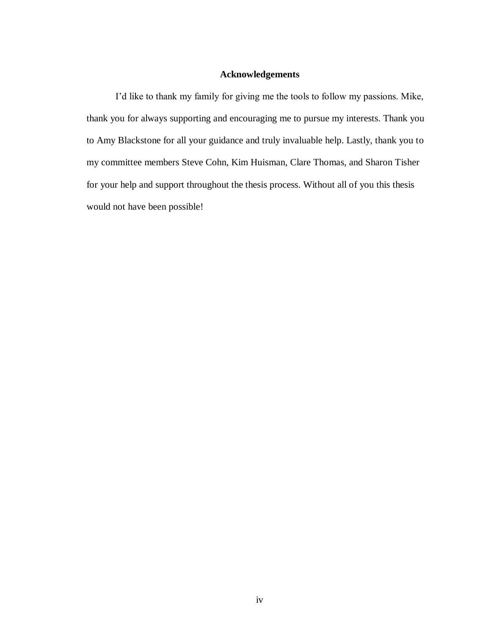# **Acknowledgements**

I'd like to thank my family for giving me the tools to follow my passions. Mike, thank you for always supporting and encouraging me to pursue my interests. Thank you to Amy Blackstone for all your guidance and truly invaluable help. Lastly, thank you to my committee members Steve Cohn, Kim Huisman, Clare Thomas, and Sharon Tisher for your help and support throughout the thesis process. Without all of you this thesis would not have been possible!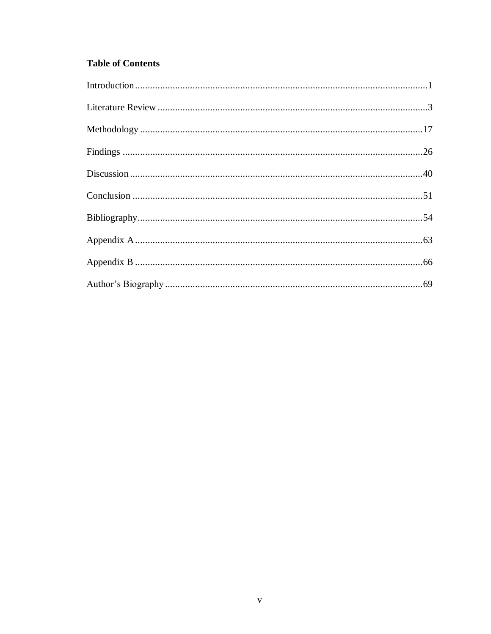# **Table of Contents**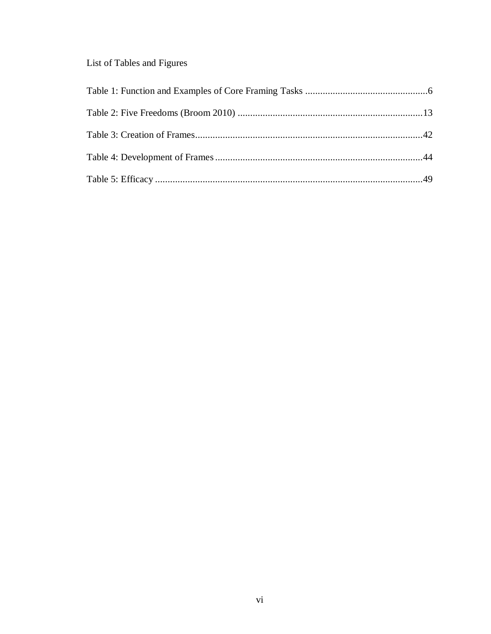# List of Tables and Figures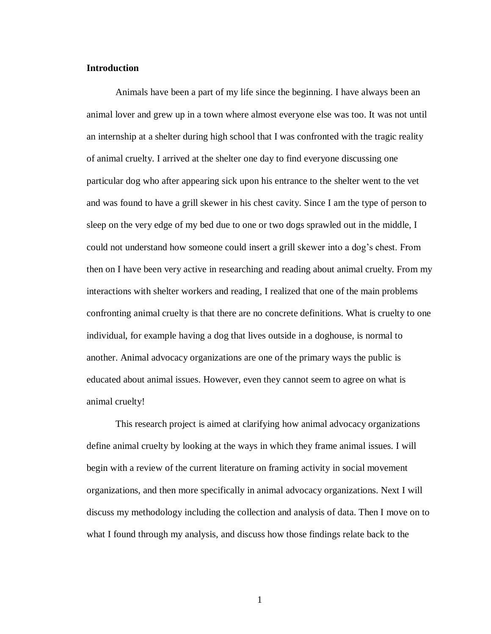# **Introduction**

Animals have been a part of my life since the beginning. I have always been an animal lover and grew up in a town where almost everyone else was too. It was not until an internship at a shelter during high school that I was confronted with the tragic reality of animal cruelty. I arrived at the shelter one day to find everyone discussing one particular dog who after appearing sick upon his entrance to the shelter went to the vet and was found to have a grill skewer in his chest cavity. Since I am the type of person to sleep on the very edge of my bed due to one or two dogs sprawled out in the middle, I could not understand how someone could insert a grill skewer into a dog's chest. From then on I have been very active in researching and reading about animal cruelty. From my interactions with shelter workers and reading, I realized that one of the main problems confronting animal cruelty is that there are no concrete definitions. What is cruelty to one individual, for example having a dog that lives outside in a doghouse, is normal to another. Animal advocacy organizations are one of the primary ways the public is educated about animal issues. However, even they cannot seem to agree on what is animal cruelty!

This research project is aimed at clarifying how animal advocacy organizations define animal cruelty by looking at the ways in which they frame animal issues. I will begin with a review of the current literature on framing activity in social movement organizations, and then more specifically in animal advocacy organizations. Next I will discuss my methodology including the collection and analysis of data. Then I move on to what I found through my analysis, and discuss how those findings relate back to the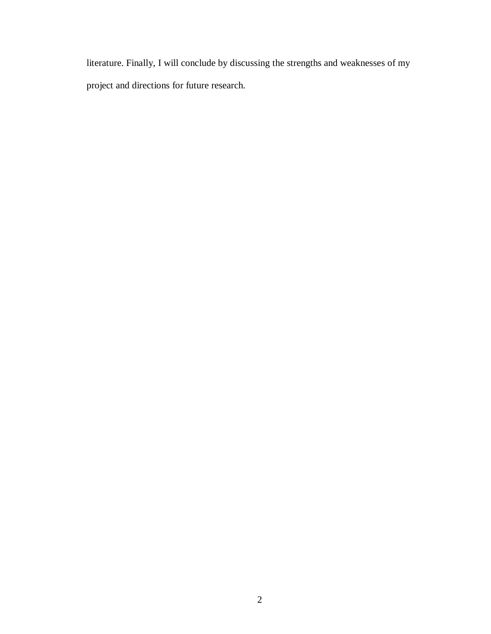literature. Finally, I will conclude by discussing the strengths and weaknesses of my project and directions for future research.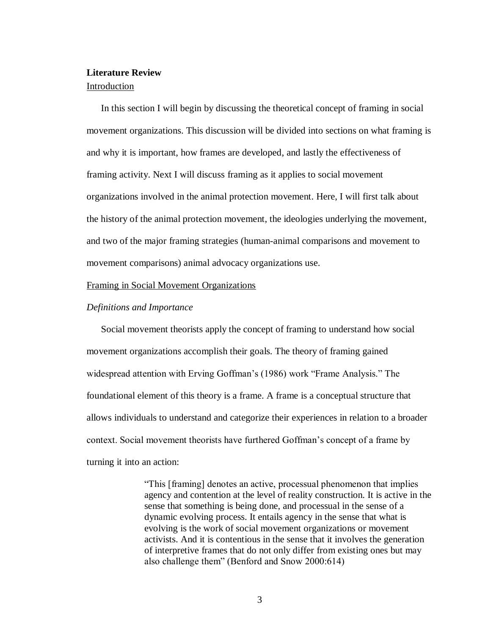# **Literature Review**

#### Introduction

In this section I will begin by discussing the theoretical concept of framing in social movement organizations. This discussion will be divided into sections on what framing is and why it is important, how frames are developed, and lastly the effectiveness of framing activity. Next I will discuss framing as it applies to social movement organizations involved in the animal protection movement. Here, I will first talk about the history of the animal protection movement, the ideologies underlying the movement, and two of the major framing strategies (human-animal comparisons and movement to movement comparisons) animal advocacy organizations use.

#### Framing in Social Movement Organizations

#### *Definitions and Importance*

Social movement theorists apply the concept of framing to understand how social movement organizations accomplish their goals. The theory of framing gained widespread attention with Erving Goffman's (1986) work "Frame Analysis." The foundational element of this theory is a frame. A frame is a conceptual structure that allows individuals to understand and categorize their experiences in relation to a broader context. Social movement theorists have furthered Goffman's concept of a frame by turning it into an action:

> "This [framing] denotes an active, processual phenomenon that implies agency and contention at the level of reality construction. It is active in the sense that something is being done, and processual in the sense of a dynamic evolving process. It entails agency in the sense that what is evolving is the work of social movement organizations or movement activists. And it is contentious in the sense that it involves the generation of interpretive frames that do not only differ from existing ones but may also challenge them" (Benford and Snow 2000:614)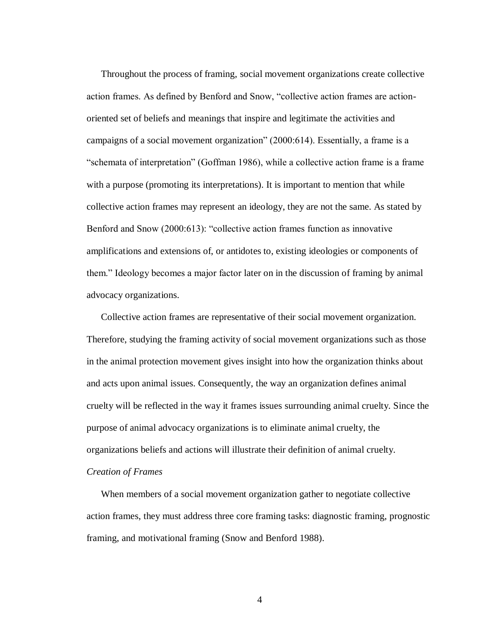Throughout the process of framing, social movement organizations create collective action frames. As defined by Benford and Snow, "collective action frames are actionoriented set of beliefs and meanings that inspire and legitimate the activities and campaigns of a social movement organization" (2000:614). Essentially, a frame is a "schemata of interpretation" (Goffman 1986), while a collective action frame is a frame with a purpose (promoting its interpretations). It is important to mention that while collective action frames may represent an ideology, they are not the same. As stated by Benford and Snow (2000:613): "collective action frames function as innovative amplifications and extensions of, or antidotes to, existing ideologies or components of them." Ideology becomes a major factor later on in the discussion of framing by animal advocacy organizations.

Collective action frames are representative of their social movement organization. Therefore, studying the framing activity of social movement organizations such as those in the animal protection movement gives insight into how the organization thinks about and acts upon animal issues. Consequently, the way an organization defines animal cruelty will be reflected in the way it frames issues surrounding animal cruelty. Since the purpose of animal advocacy organizations is to eliminate animal cruelty, the organizations beliefs and actions will illustrate their definition of animal cruelty.

# *Creation of Frames*

When members of a social movement organization gather to negotiate collective action frames, they must address three core framing tasks: diagnostic framing, prognostic framing, and motivational framing (Snow and Benford 1988).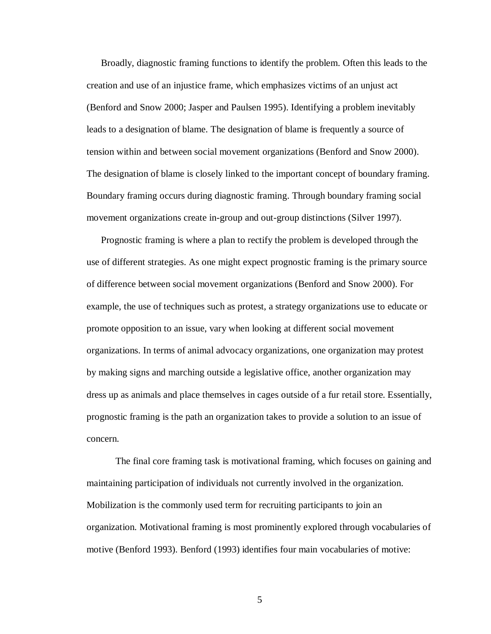Broadly, diagnostic framing functions to identify the problem. Often this leads to the creation and use of an injustice frame, which emphasizes victims of an unjust act (Benford and Snow 2000; Jasper and Paulsen 1995). Identifying a problem inevitably leads to a designation of blame. The designation of blame is frequently a source of tension within and between social movement organizations (Benford and Snow 2000). The designation of blame is closely linked to the important concept of boundary framing. Boundary framing occurs during diagnostic framing. Through boundary framing social movement organizations create in-group and out-group distinctions (Silver 1997).

Prognostic framing is where a plan to rectify the problem is developed through the use of different strategies. As one might expect prognostic framing is the primary source of difference between social movement organizations (Benford and Snow 2000). For example, the use of techniques such as protest, a strategy organizations use to educate or promote opposition to an issue, vary when looking at different social movement organizations. In terms of animal advocacy organizations, one organization may protest by making signs and marching outside a legislative office, another organization may dress up as animals and place themselves in cages outside of a fur retail store. Essentially, prognostic framing is the path an organization takes to provide a solution to an issue of concern.

The final core framing task is motivational framing, which focuses on gaining and maintaining participation of individuals not currently involved in the organization. Mobilization is the commonly used term for recruiting participants to join an organization. Motivational framing is most prominently explored through vocabularies of motive (Benford 1993). Benford (1993) identifies four main vocabularies of motive: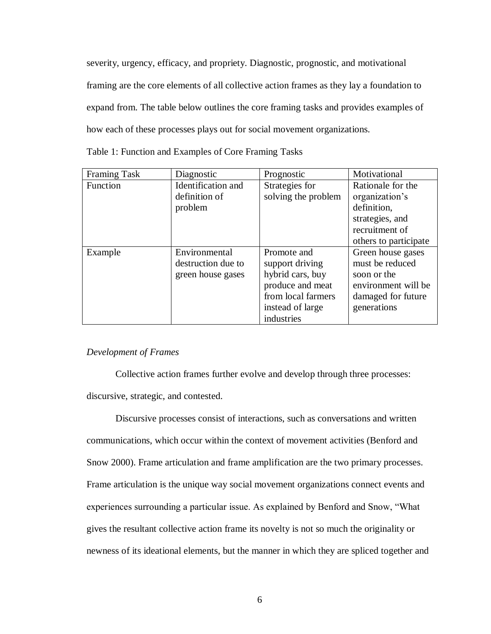severity, urgency, efficacy, and propriety. Diagnostic, prognostic, and motivational framing are the core elements of all collective action frames as they lay a foundation to expand from. The table below outlines the core framing tasks and provides examples of how each of these processes plays out for social movement organizations.

| Table 1: Function and Examples of Core Framing Tasks |  |  |  |
|------------------------------------------------------|--|--|--|
|                                                      |  |  |  |

| <b>Framing Task</b> | Diagnostic         | Prognostic          | Motivational          |
|---------------------|--------------------|---------------------|-----------------------|
| Function            | Identification and | Strategies for      | Rationale for the     |
|                     | definition of      | solving the problem | organization's        |
|                     | problem            |                     | definition,           |
|                     |                    |                     | strategies, and       |
|                     |                    |                     | recruitment of        |
|                     |                    |                     | others to participate |
| Example             | Environmental      | Promote and         | Green house gases     |
|                     | destruction due to | support driving     | must be reduced       |
|                     | green house gases  | hybrid cars, buy    | soon or the           |
|                     |                    | produce and meat    | environment will be   |
|                     |                    | from local farmers  | damaged for future    |
|                     |                    | instead of large    | generations           |
|                     |                    | industries          |                       |

# *Development of Frames*

Collective action frames further evolve and develop through three processes: discursive, strategic, and contested.

Discursive processes consist of interactions, such as conversations and written communications, which occur within the context of movement activities (Benford and Snow 2000). Frame articulation and frame amplification are the two primary processes. Frame articulation is the unique way social movement organizations connect events and experiences surrounding a particular issue. As explained by Benford and Snow, "What gives the resultant collective action frame its novelty is not so much the originality or newness of its ideational elements, but the manner in which they are spliced together and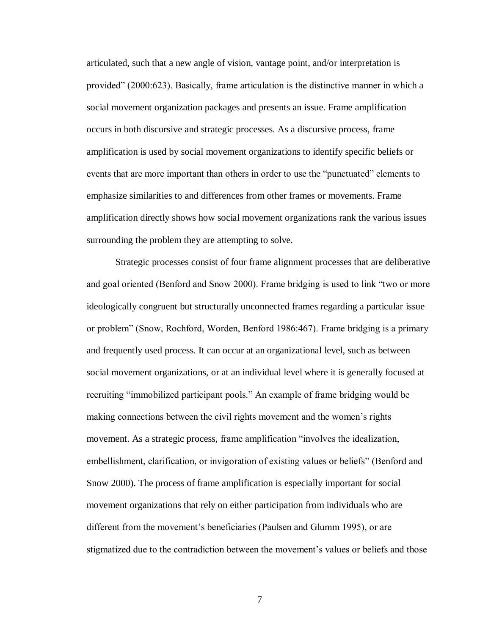articulated, such that a new angle of vision, vantage point, and/or interpretation is provided" (2000:623). Basically, frame articulation is the distinctive manner in which a social movement organization packages and presents an issue. Frame amplification occurs in both discursive and strategic processes. As a discursive process, frame amplification is used by social movement organizations to identify specific beliefs or events that are more important than others in order to use the "punctuated" elements to emphasize similarities to and differences from other frames or movements. Frame amplification directly shows how social movement organizations rank the various issues surrounding the problem they are attempting to solve.

Strategic processes consist of four frame alignment processes that are deliberative and goal oriented (Benford and Snow 2000). Frame bridging is used to link "two or more ideologically congruent but structurally unconnected frames regarding a particular issue or problem" (Snow, Rochford, Worden, Benford 1986:467). Frame bridging is a primary and frequently used process. It can occur at an organizational level, such as between social movement organizations, or at an individual level where it is generally focused at recruiting "immobilized participant pools." An example of frame bridging would be making connections between the civil rights movement and the women's rights movement. As a strategic process, frame amplification "involves the idealization, embellishment, clarification, or invigoration of existing values or beliefs" (Benford and Snow 2000). The process of frame amplification is especially important for social movement organizations that rely on either participation from individuals who are different from the movement's beneficiaries (Paulsen and Glumm 1995), or are stigmatized due to the contradiction between the movement's values or beliefs and those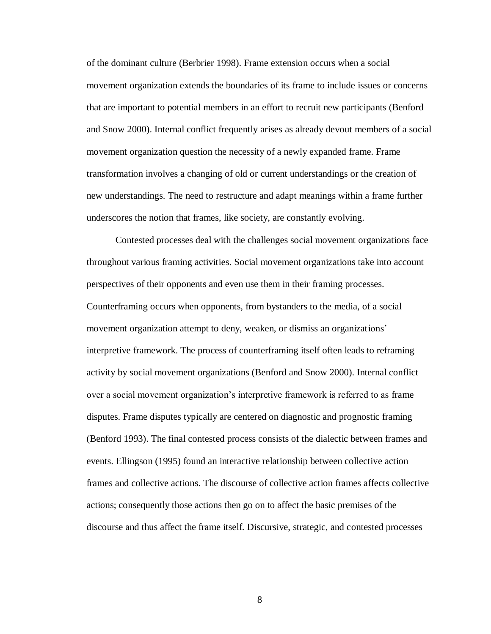of the dominant culture (Berbrier 1998). Frame extension occurs when a social movement organization extends the boundaries of its frame to include issues or concerns that are important to potential members in an effort to recruit new participants (Benford and Snow 2000). Internal conflict frequently arises as already devout members of a social movement organization question the necessity of a newly expanded frame. Frame transformation involves a changing of old or current understandings or the creation of new understandings. The need to restructure and adapt meanings within a frame further underscores the notion that frames, like society, are constantly evolving.

Contested processes deal with the challenges social movement organizations face throughout various framing activities. Social movement organizations take into account perspectives of their opponents and even use them in their framing processes. Counterframing occurs when opponents, from bystanders to the media, of a social movement organization attempt to deny, weaken, or dismiss an organizations' interpretive framework. The process of counterframing itself often leads to reframing activity by social movement organizations (Benford and Snow 2000). Internal conflict over a social movement organization's interpretive framework is referred to as frame disputes. Frame disputes typically are centered on diagnostic and prognostic framing (Benford 1993). The final contested process consists of the dialectic between frames and events. Ellingson (1995) found an interactive relationship between collective action frames and collective actions. The discourse of collective action frames affects collective actions; consequently those actions then go on to affect the basic premises of the discourse and thus affect the frame itself. Discursive, strategic, and contested processes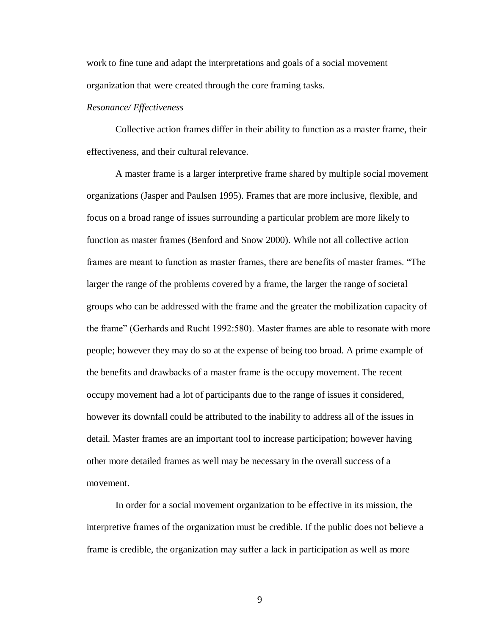work to fine tune and adapt the interpretations and goals of a social movement organization that were created through the core framing tasks.

## *Resonance/ Effectiveness*

Collective action frames differ in their ability to function as a master frame, their effectiveness, and their cultural relevance.

A master frame is a larger interpretive frame shared by multiple social movement organizations (Jasper and Paulsen 1995). Frames that are more inclusive, flexible, and focus on a broad range of issues surrounding a particular problem are more likely to function as master frames (Benford and Snow 2000). While not all collective action frames are meant to function as master frames, there are benefits of master frames. "The larger the range of the problems covered by a frame, the larger the range of societal groups who can be addressed with the frame and the greater the mobilization capacity of the frame" (Gerhards and Rucht 1992:580). Master frames are able to resonate with more people; however they may do so at the expense of being too broad. A prime example of the benefits and drawbacks of a master frame is the occupy movement. The recent occupy movement had a lot of participants due to the range of issues it considered, however its downfall could be attributed to the inability to address all of the issues in detail. Master frames are an important tool to increase participation; however having other more detailed frames as well may be necessary in the overall success of a movement.

In order for a social movement organization to be effective in its mission, the interpretive frames of the organization must be credible. If the public does not believe a frame is credible, the organization may suffer a lack in participation as well as more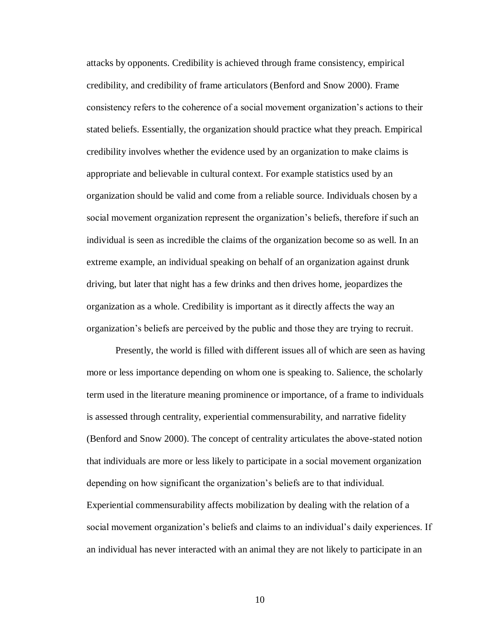attacks by opponents. Credibility is achieved through frame consistency, empirical credibility, and credibility of frame articulators (Benford and Snow 2000). Frame consistency refers to the coherence of a social movement organization's actions to their stated beliefs. Essentially, the organization should practice what they preach. Empirical credibility involves whether the evidence used by an organization to make claims is appropriate and believable in cultural context. For example statistics used by an organization should be valid and come from a reliable source. Individuals chosen by a social movement organization represent the organization's beliefs, therefore if such an individual is seen as incredible the claims of the organization become so as well. In an extreme example, an individual speaking on behalf of an organization against drunk driving, but later that night has a few drinks and then drives home, jeopardizes the organization as a whole. Credibility is important as it directly affects the way an organization's beliefs are perceived by the public and those they are trying to recruit.

Presently, the world is filled with different issues all of which are seen as having more or less importance depending on whom one is speaking to. Salience, the scholarly term used in the literature meaning prominence or importance, of a frame to individuals is assessed through centrality, experiential commensurability, and narrative fidelity (Benford and Snow 2000). The concept of centrality articulates the above-stated notion that individuals are more or less likely to participate in a social movement organization depending on how significant the organization's beliefs are to that individual. Experiential commensurability affects mobilization by dealing with the relation of a social movement organization's beliefs and claims to an individual's daily experiences. If an individual has never interacted with an animal they are not likely to participate in an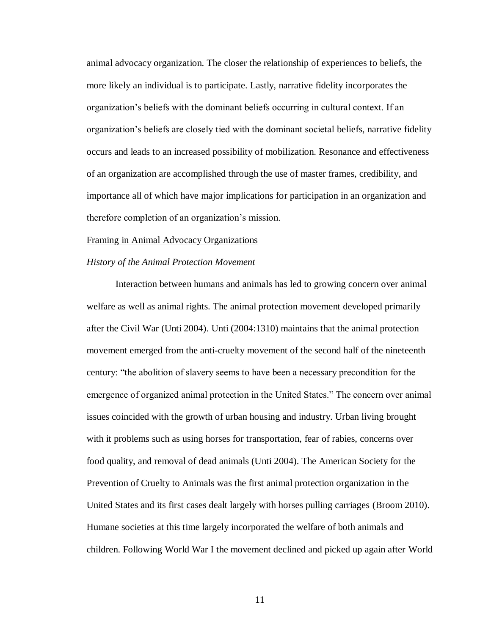animal advocacy organization. The closer the relationship of experiences to beliefs, the more likely an individual is to participate. Lastly, narrative fidelity incorporates the organization's beliefs with the dominant beliefs occurring in cultural context. If an organization's beliefs are closely tied with the dominant societal beliefs, narrative fidelity occurs and leads to an increased possibility of mobilization. Resonance and effectiveness of an organization are accomplished through the use of master frames, credibility, and importance all of which have major implications for participation in an organization and therefore completion of an organization's mission.

#### Framing in Animal Advocacy Organizations

#### *History of the Animal Protection Movement*

Interaction between humans and animals has led to growing concern over animal welfare as well as animal rights. The animal protection movement developed primarily after the Civil War (Unti 2004). Unti (2004:1310) maintains that the animal protection movement emerged from the anti-cruelty movement of the second half of the nineteenth century: "the abolition of slavery seems to have been a necessary precondition for the emergence of organized animal protection in the United States." The concern over animal issues coincided with the growth of urban housing and industry. Urban living brought with it problems such as using horses for transportation, fear of rabies, concerns over food quality, and removal of dead animals (Unti 2004). The American Society for the Prevention of Cruelty to Animals was the first animal protection organization in the United States and its first cases dealt largely with horses pulling carriages (Broom 2010). Humane societies at this time largely incorporated the welfare of both animals and children. Following World War I the movement declined and picked up again after World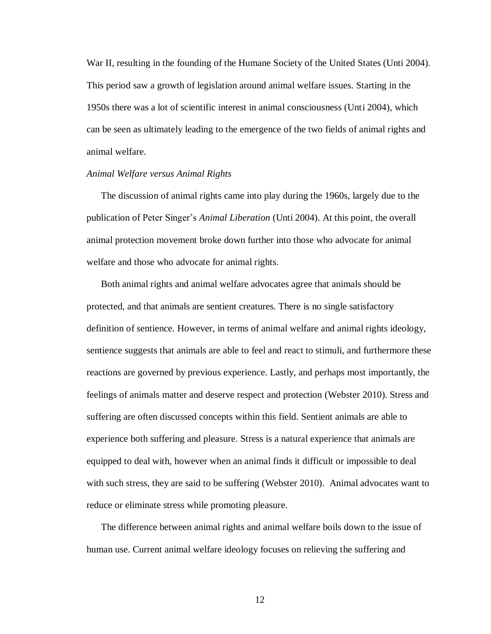War II, resulting in the founding of the Humane Society of the United States (Unti 2004). This period saw a growth of legislation around animal welfare issues. Starting in the 1950s there was a lot of scientific interest in animal consciousness (Unti 2004), which can be seen as ultimately leading to the emergence of the two fields of animal rights and animal welfare.

### *Animal Welfare versus Animal Rights*

The discussion of animal rights came into play during the 1960s, largely due to the publication of Peter Singer's *Animal Liberation* (Unti 2004). At this point, the overall animal protection movement broke down further into those who advocate for animal welfare and those who advocate for animal rights.

Both animal rights and animal welfare advocates agree that animals should be protected, and that animals are sentient creatures. There is no single satisfactory definition of sentience. However, in terms of animal welfare and animal rights ideology, sentience suggests that animals are able to feel and react to stimuli, and furthermore these reactions are governed by previous experience. Lastly, and perhaps most importantly, the feelings of animals matter and deserve respect and protection (Webster 2010). Stress and suffering are often discussed concepts within this field. Sentient animals are able to experience both suffering and pleasure. Stress is a natural experience that animals are equipped to deal with, however when an animal finds it difficult or impossible to deal with such stress, they are said to be suffering (Webster 2010). Animal advocates want to reduce or eliminate stress while promoting pleasure.

The difference between animal rights and animal welfare boils down to the issue of human use. Current animal welfare ideology focuses on relieving the suffering and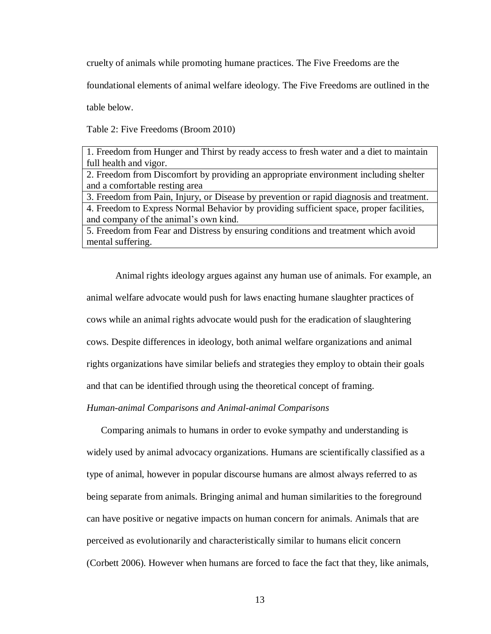cruelty of animals while promoting humane practices. The Five Freedoms are the

foundational elements of animal welfare ideology. The Five Freedoms are outlined in the

table below.

Table 2: Five Freedoms (Broom 2010)

| 1. Freedom from Hunger and Thirst by ready access to fresh water and a diet to maintain |
|-----------------------------------------------------------------------------------------|
| full health and vigor.                                                                  |
| 2. Freedom from Discomfort by providing an appropriate environment including shelter    |
| and a comfortable resting area                                                          |

3. Freedom from Pain, Injury, or Disease by prevention or rapid diagnosis and treatment. 4. Freedom to Express Normal Behavior by providing sufficient space, proper facilities, and company of the animal's own kind.

5. Freedom from Fear and Distress by ensuring conditions and treatment which avoid mental suffering.

Animal rights ideology argues against any human use of animals. For example, an animal welfare advocate would push for laws enacting humane slaughter practices of cows while an animal rights advocate would push for the eradication of slaughtering cows. Despite differences in ideology, both animal welfare organizations and animal rights organizations have similar beliefs and strategies they employ to obtain their goals and that can be identified through using the theoretical concept of framing.

## *Human-animal Comparisons and Animal-animal Comparisons*

Comparing animals to humans in order to evoke sympathy and understanding is widely used by animal advocacy organizations. Humans are scientifically classified as a type of animal, however in popular discourse humans are almost always referred to as being separate from animals. Bringing animal and human similarities to the foreground can have positive or negative impacts on human concern for animals. Animals that are perceived as evolutionarily and characteristically similar to humans elicit concern (Corbett 2006). However when humans are forced to face the fact that they, like animals,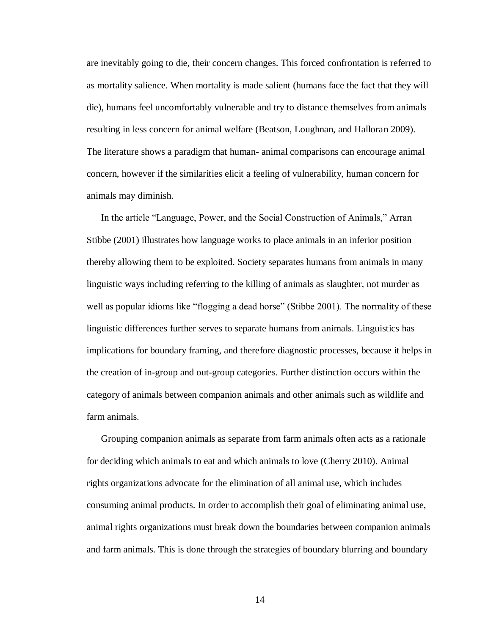are inevitably going to die, their concern changes. This forced confrontation is referred to as mortality salience. When mortality is made salient (humans face the fact that they will die), humans feel uncomfortably vulnerable and try to distance themselves from animals resulting in less concern for animal welfare (Beatson, Loughnan, and Halloran 2009). The literature shows a paradigm that human- animal comparisons can encourage animal concern, however if the similarities elicit a feeling of vulnerability, human concern for animals may diminish.

In the article "Language, Power, and the Social Construction of Animals," Arran Stibbe (2001) illustrates how language works to place animals in an inferior position thereby allowing them to be exploited. Society separates humans from animals in many linguistic ways including referring to the killing of animals as slaughter, not murder as well as popular idioms like "flogging a dead horse" (Stibbe 2001). The normality of these linguistic differences further serves to separate humans from animals. Linguistics has implications for boundary framing, and therefore diagnostic processes, because it helps in the creation of in-group and out-group categories. Further distinction occurs within the category of animals between companion animals and other animals such as wildlife and farm animals.

Grouping companion animals as separate from farm animals often acts as a rationale for deciding which animals to eat and which animals to love (Cherry 2010). Animal rights organizations advocate for the elimination of all animal use, which includes consuming animal products. In order to accomplish their goal of eliminating animal use, animal rights organizations must break down the boundaries between companion animals and farm animals. This is done through the strategies of boundary blurring and boundary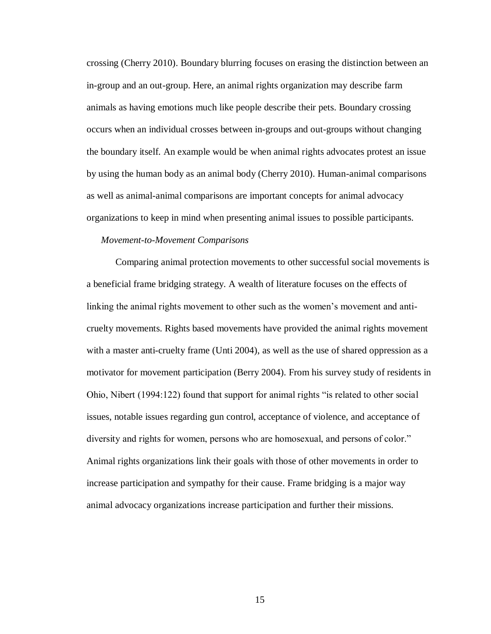crossing (Cherry 2010). Boundary blurring focuses on erasing the distinction between an in-group and an out-group. Here, an animal rights organization may describe farm animals as having emotions much like people describe their pets. Boundary crossing occurs when an individual crosses between in-groups and out-groups without changing the boundary itself. An example would be when animal rights advocates protest an issue by using the human body as an animal body (Cherry 2010). Human-animal comparisons as well as animal-animal comparisons are important concepts for animal advocacy organizations to keep in mind when presenting animal issues to possible participants.

## *Movement-to-Movement Comparisons*

Comparing animal protection movements to other successful social movements is a beneficial frame bridging strategy. A wealth of literature focuses on the effects of linking the animal rights movement to other such as the women's movement and anticruelty movements. Rights based movements have provided the animal rights movement with a master anti-cruelty frame (Unti 2004), as well as the use of shared oppression as a motivator for movement participation (Berry 2004). From his survey study of residents in Ohio, Nibert (1994:122) found that support for animal rights "is related to other social issues, notable issues regarding gun control, acceptance of violence, and acceptance of diversity and rights for women, persons who are homosexual, and persons of color." Animal rights organizations link their goals with those of other movements in order to increase participation and sympathy for their cause. Frame bridging is a major way animal advocacy organizations increase participation and further their missions.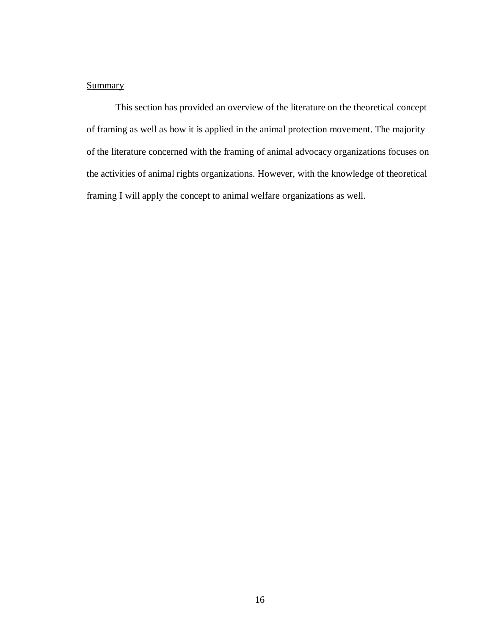# **Summary**

This section has provided an overview of the literature on the theoretical concept of framing as well as how it is applied in the animal protection movement. The majority of the literature concerned with the framing of animal advocacy organizations focuses on the activities of animal rights organizations. However, with the knowledge of theoretical framing I will apply the concept to animal welfare organizations as well.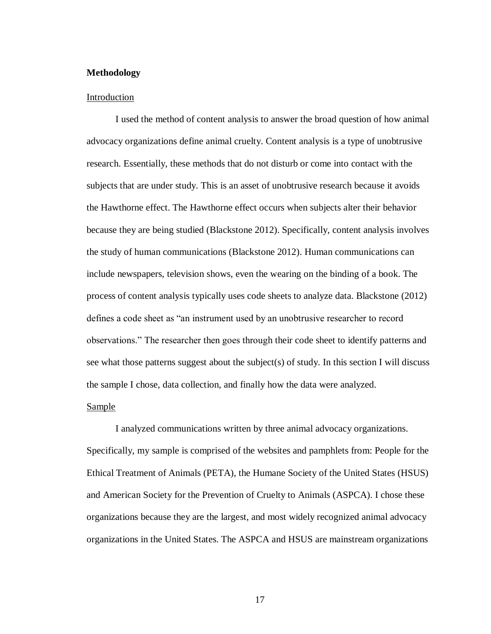# **Methodology**

## Introduction

I used the method of content analysis to answer the broad question of how animal advocacy organizations define animal cruelty. Content analysis is a type of unobtrusive research. Essentially, these methods that do not disturb or come into contact with the subjects that are under study. This is an asset of unobtrusive research because it avoids the Hawthorne effect. The Hawthorne effect occurs when subjects alter their behavior because they are being studied (Blackstone 2012). Specifically, content analysis involves the study of human communications (Blackstone 2012). Human communications can include newspapers, television shows, even the wearing on the binding of a book. The process of content analysis typically uses code sheets to analyze data. Blackstone (2012) defines a code sheet as "an instrument used by an unobtrusive researcher to record observations." The researcher then goes through their code sheet to identify patterns and see what those patterns suggest about the subject(s) of study. In this section I will discuss the sample I chose, data collection, and finally how the data were analyzed.

# Sample

I analyzed communications written by three animal advocacy organizations. Specifically, my sample is comprised of the websites and pamphlets from: People for the Ethical Treatment of Animals (PETA), the Humane Society of the United States (HSUS) and American Society for the Prevention of Cruelty to Animals (ASPCA). I chose these organizations because they are the largest, and most widely recognized animal advocacy organizations in the United States. The ASPCA and HSUS are mainstream organizations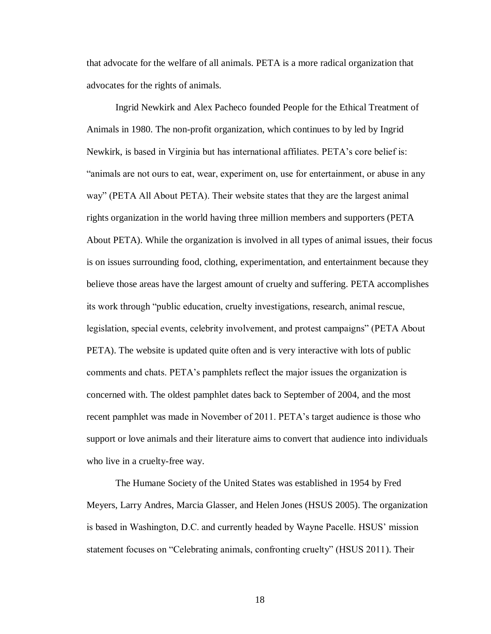that advocate for the welfare of all animals. PETA is a more radical organization that advocates for the rights of animals.

Ingrid Newkirk and Alex Pacheco founded People for the Ethical Treatment of Animals in 1980. The non-profit organization, which continues to by led by Ingrid Newkirk, is based in Virginia but has international affiliates. PETA's core belief is: "animals are not ours to eat, wear, experiment on, use for entertainment, or abuse in any way" (PETA All About PETA). Their website states that they are the largest animal rights organization in the world having three million members and supporters (PETA About PETA). While the organization is involved in all types of animal issues, their focus is on issues surrounding food, clothing, experimentation, and entertainment because they believe those areas have the largest amount of cruelty and suffering. PETA accomplishes its work through "public education, cruelty investigations, research, animal rescue, legislation, special events, celebrity involvement, and protest campaigns" (PETA About PETA). The website is updated quite often and is very interactive with lots of public comments and chats. PETA's pamphlets reflect the major issues the organization is concerned with. The oldest pamphlet dates back to September of 2004, and the most recent pamphlet was made in November of 2011. PETA's target audience is those who support or love animals and their literature aims to convert that audience into individuals who live in a cruelty-free way.

The Humane Society of the United States was established in 1954 by Fred Meyers, Larry Andres, Marcia Glasser, and Helen Jones (HSUS 2005). The organization is based in Washington, D.C. and currently headed by Wayne Pacelle. HSUS' mission statement focuses on "Celebrating animals, confronting cruelty" (HSUS 2011). Their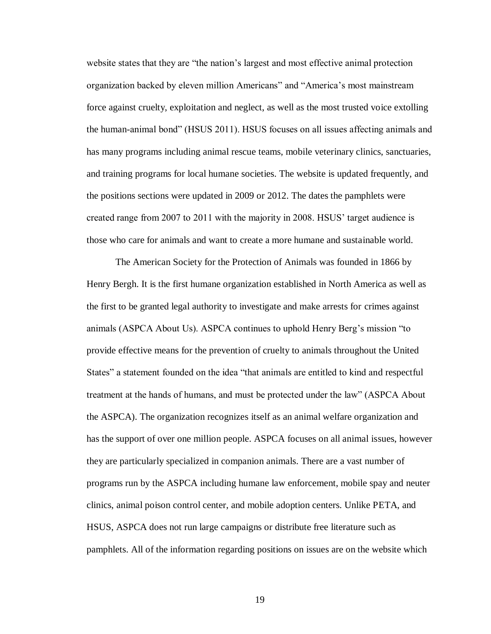website states that they are "the nation's largest and most effective animal protection organization backed by eleven million Americans" and "America's most mainstream force against cruelty, exploitation and neglect, as well as the most trusted voice extolling the human-animal bond" (HSUS 2011). HSUS focuses on all issues affecting animals and has many programs including animal rescue teams, mobile veterinary clinics, sanctuaries, and training programs for local humane societies. The website is updated frequently, and the positions sections were updated in 2009 or 2012. The dates the pamphlets were created range from 2007 to 2011 with the majority in 2008. HSUS' target audience is those who care for animals and want to create a more humane and sustainable world.

The American Society for the Protection of Animals was founded in 1866 by Henry Bergh. It is the first humane organization established in North America as well as the first to be granted legal authority to investigate and make arrests for crimes against animals (ASPCA About Us). ASPCA continues to uphold Henry Berg's mission "to provide effective means for the prevention of cruelty to animals throughout the United States" a statement founded on the idea "that animals are entitled to kind and respectful treatment at the hands of humans, and must be protected under the law" (ASPCA About the ASPCA). The organization recognizes itself as an animal welfare organization and has the support of over one million people. ASPCA focuses on all animal issues, however they are particularly specialized in companion animals. There are a vast number of programs run by the ASPCA including humane law enforcement, mobile spay and neuter clinics, animal poison control center, and mobile adoption centers. Unlike PETA, and HSUS, ASPCA does not run large campaigns or distribute free literature such as pamphlets. All of the information regarding positions on issues are on the website which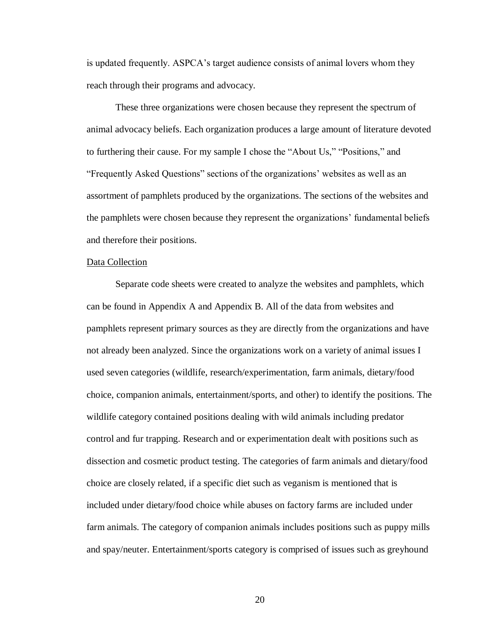is updated frequently. ASPCA's target audience consists of animal lovers whom they reach through their programs and advocacy.

These three organizations were chosen because they represent the spectrum of animal advocacy beliefs. Each organization produces a large amount of literature devoted to furthering their cause. For my sample I chose the "About Us," "Positions," and "Frequently Asked Questions" sections of the organizations' websites as well as an assortment of pamphlets produced by the organizations. The sections of the websites and the pamphlets were chosen because they represent the organizations' fundamental beliefs and therefore their positions.

#### Data Collection

Separate code sheets were created to analyze the websites and pamphlets, which can be found in Appendix A and Appendix B. All of the data from websites and pamphlets represent primary sources as they are directly from the organizations and have not already been analyzed. Since the organizations work on a variety of animal issues I used seven categories (wildlife, research/experimentation, farm animals, dietary/food choice, companion animals, entertainment/sports, and other) to identify the positions. The wildlife category contained positions dealing with wild animals including predator control and fur trapping. Research and or experimentation dealt with positions such as dissection and cosmetic product testing. The categories of farm animals and dietary/food choice are closely related, if a specific diet such as veganism is mentioned that is included under dietary/food choice while abuses on factory farms are included under farm animals. The category of companion animals includes positions such as puppy mills and spay/neuter. Entertainment/sports category is comprised of issues such as greyhound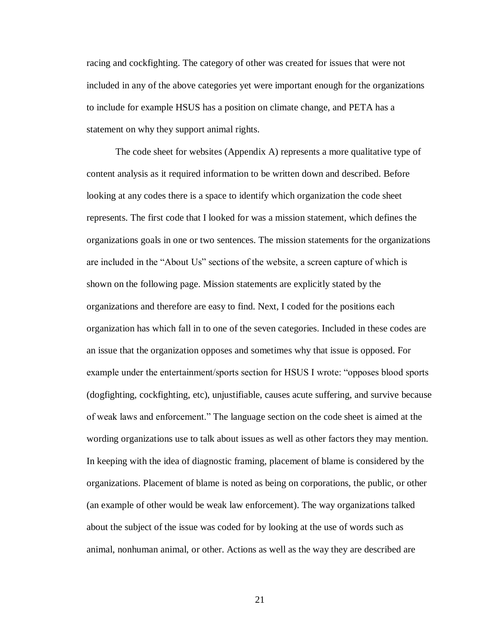racing and cockfighting. The category of other was created for issues that were not included in any of the above categories yet were important enough for the organizations to include for example HSUS has a position on climate change, and PETA has a statement on why they support animal rights.

The code sheet for websites (Appendix A) represents a more qualitative type of content analysis as it required information to be written down and described. Before looking at any codes there is a space to identify which organization the code sheet represents. The first code that I looked for was a mission statement, which defines the organizations goals in one or two sentences. The mission statements for the organizations are included in the "About Us" sections of the website, a screen capture of which is shown on the following page. Mission statements are explicitly stated by the organizations and therefore are easy to find. Next, I coded for the positions each organization has which fall in to one of the seven categories. Included in these codes are an issue that the organization opposes and sometimes why that issue is opposed. For example under the entertainment/sports section for HSUS I wrote: "opposes blood sports (dogfighting, cockfighting, etc), unjustifiable, causes acute suffering, and survive because of weak laws and enforcement." The language section on the code sheet is aimed at the wording organizations use to talk about issues as well as other factors they may mention. In keeping with the idea of diagnostic framing, placement of blame is considered by the organizations. Placement of blame is noted as being on corporations, the public, or other (an example of other would be weak law enforcement). The way organizations talked about the subject of the issue was coded for by looking at the use of words such as animal, nonhuman animal, or other. Actions as well as the way they are described are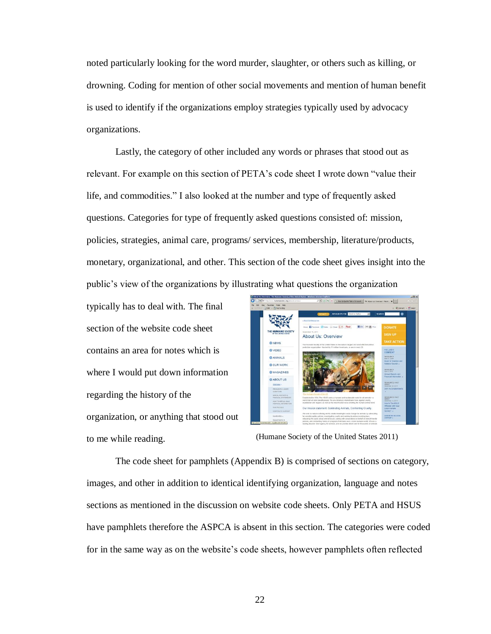noted particularly looking for the word murder, slaughter, or others such as killing, or drowning. Coding for mention of other social movements and mention of human benefit is used to identify if the organizations employ strategies typically used by advocacy organizations.

Lastly, the category of other included any words or phrases that stood out as relevant. For example on this section of PETA's code sheet I wrote down "value their life, and commodities." I also looked at the number and type of frequently asked questions. Categories for type of frequently asked questions consisted of: mission, policies, strategies, animal care, programs/ services, membership, literature/products, monetary, organizational, and other. This section of the code sheet gives insight into the public's view of the organizations by illustrating what questions the organization

typically has to deal with. The final section of the website code sheet contains an area for notes which is where I would put down information regarding the history of the organization, or anything that stood out to me while reading.



(Humane Society of the United States 2011)

The code sheet for pamphlets (Appendix B) is comprised of sections on category, images, and other in addition to identical identifying organization, language and notes sections as mentioned in the discussion on website code sheets. Only PETA and HSUS have pamphlets therefore the ASPCA is absent in this section. The categories were coded for in the same way as on the website's code sheets, however pamphlets often reflected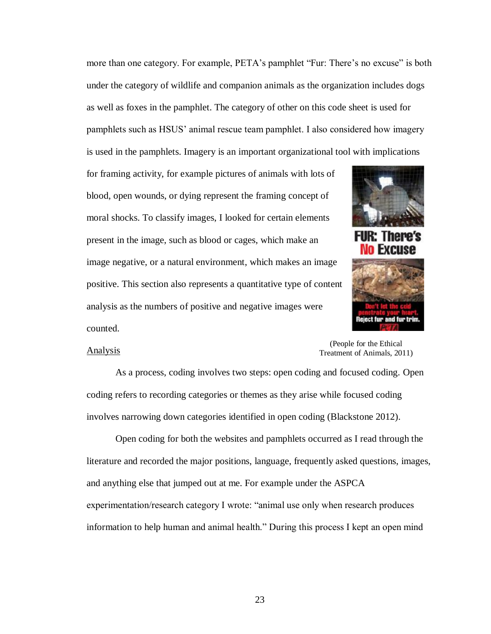more than one category. For example, PETA's pamphlet "Fur: There's no excuse" is both under the category of wildlife and companion animals as the organization includes dogs as well as foxes in the pamphlet. The category of other on this code sheet is used for pamphlets such as HSUS' animal rescue team pamphlet. I also considered how imagery is used in the pamphlets. Imagery is an important organizational tool with implications

for framing activity, for example pictures of animals with lots of blood, open wounds, or dying represent the framing concept of moral shocks. To classify images, I looked for certain elements present in the image, such as blood or cages, which make an image negative, or a natural environment, which makes an image positive. This section also represents a quantitative type of content analysis as the numbers of positive and negative images were counted.



There's **E**velise

#### Analysis

(People for the Ethical Treatment of Animals, 2011)

As a process, coding involves two steps: open coding and focused coding. Open coding refers to recording categories or themes as they arise while focused coding involves narrowing down categories identified in open coding (Blackstone 2012).

Open coding for both the websites and pamphlets occurred as I read through the literature and recorded the major positions, language, frequently asked questions, images, and anything else that jumped out at me. For example under the ASPCA experimentation/research category I wrote: "animal use only when research produces information to help human and animal health." During this process I kept an open mind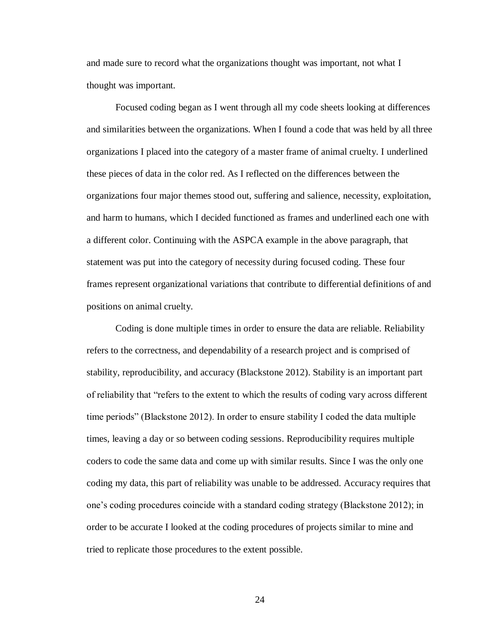and made sure to record what the organizations thought was important, not what I thought was important.

Focused coding began as I went through all my code sheets looking at differences and similarities between the organizations. When I found a code that was held by all three organizations I placed into the category of a master frame of animal cruelty. I underlined these pieces of data in the color red. As I reflected on the differences between the organizations four major themes stood out, suffering and salience, necessity, exploitation, and harm to humans, which I decided functioned as frames and underlined each one with a different color. Continuing with the ASPCA example in the above paragraph, that statement was put into the category of necessity during focused coding. These four frames represent organizational variations that contribute to differential definitions of and positions on animal cruelty.

Coding is done multiple times in order to ensure the data are reliable. Reliability refers to the correctness, and dependability of a research project and is comprised of stability, reproducibility, and accuracy (Blackstone 2012). Stability is an important part of reliability that "refers to the extent to which the results of coding vary across different time periods" (Blackstone 2012). In order to ensure stability I coded the data multiple times, leaving a day or so between coding sessions. Reproducibility requires multiple coders to code the same data and come up with similar results. Since I was the only one coding my data, this part of reliability was unable to be addressed. Accuracy requires that one's coding procedures coincide with a standard coding strategy (Blackstone 2012); in order to be accurate I looked at the coding procedures of projects similar to mine and tried to replicate those procedures to the extent possible.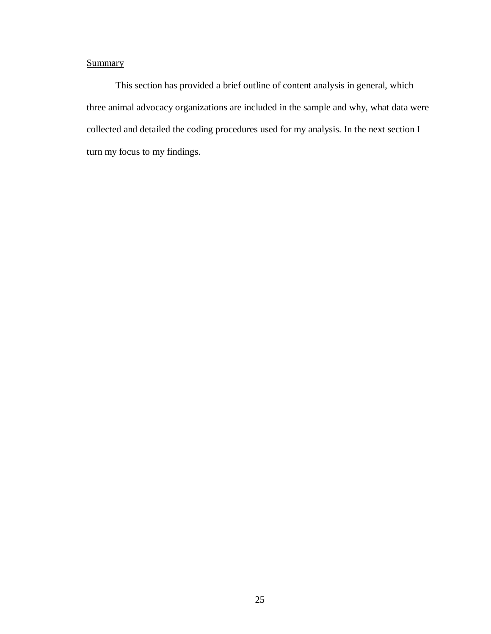# **Summary**

This section has provided a brief outline of content analysis in general, which three animal advocacy organizations are included in the sample and why, what data were collected and detailed the coding procedures used for my analysis. In the next section I turn my focus to my findings.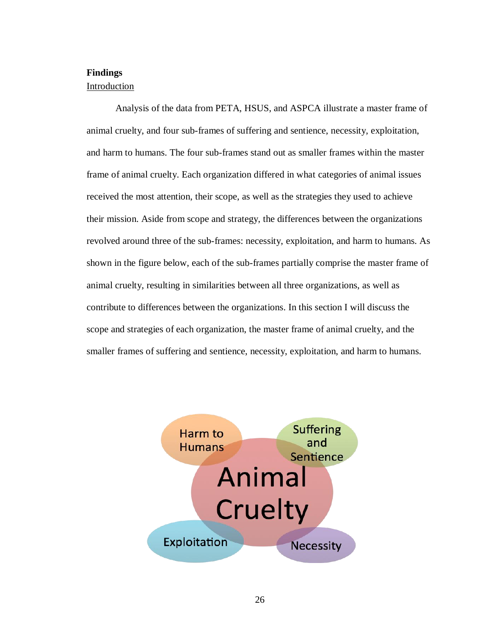# **Findings**

# Introduction

Analysis of the data from PETA, HSUS, and ASPCA illustrate a master frame of animal cruelty, and four sub-frames of suffering and sentience, necessity, exploitation, and harm to humans. The four sub-frames stand out as smaller frames within the master frame of animal cruelty. Each organization differed in what categories of animal issues received the most attention, their scope, as well as the strategies they used to achieve their mission. Aside from scope and strategy, the differences between the organizations revolved around three of the sub-frames: necessity, exploitation, and harm to humans. As shown in the figure below, each of the sub-frames partially comprise the master frame of animal cruelty, resulting in similarities between all three organizations, as well as contribute to differences between the organizations. In this section I will discuss the scope and strategies of each organization, the master frame of animal cruelty, and the smaller frames of suffering and sentience, necessity, exploitation, and harm to humans.

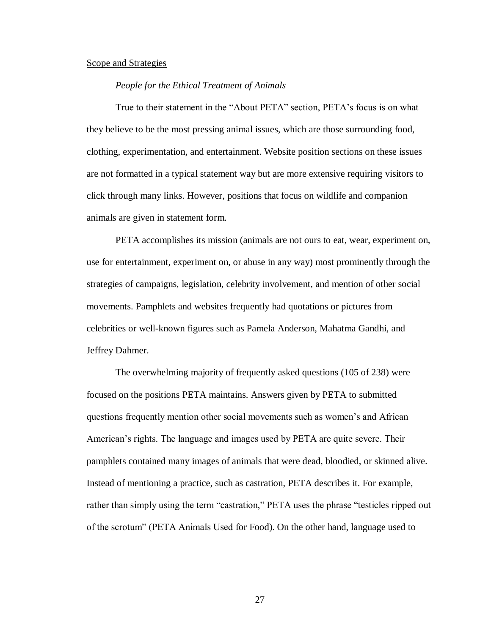#### Scope and Strategies

## *People for the Ethical Treatment of Animals*

True to their statement in the "About PETA" section, PETA's focus is on what they believe to be the most pressing animal issues, which are those surrounding food, clothing, experimentation, and entertainment. Website position sections on these issues are not formatted in a typical statement way but are more extensive requiring visitors to click through many links. However, positions that focus on wildlife and companion animals are given in statement form.

PETA accomplishes its mission (animals are not ours to eat, wear, experiment on, use for entertainment, experiment on, or abuse in any way) most prominently through the strategies of campaigns, legislation, celebrity involvement, and mention of other social movements. Pamphlets and websites frequently had quotations or pictures from celebrities or well-known figures such as Pamela Anderson, Mahatma Gandhi, and Jeffrey Dahmer.

The overwhelming majority of frequently asked questions (105 of 238) were focused on the positions PETA maintains. Answers given by PETA to submitted questions frequently mention other social movements such as women's and African American's rights. The language and images used by PETA are quite severe. Their pamphlets contained many images of animals that were dead, bloodied, or skinned alive. Instead of mentioning a practice, such as castration, PETA describes it. For example, rather than simply using the term "castration," PETA uses the phrase "testicles ripped out of the scrotum" (PETA Animals Used for Food). On the other hand, language used to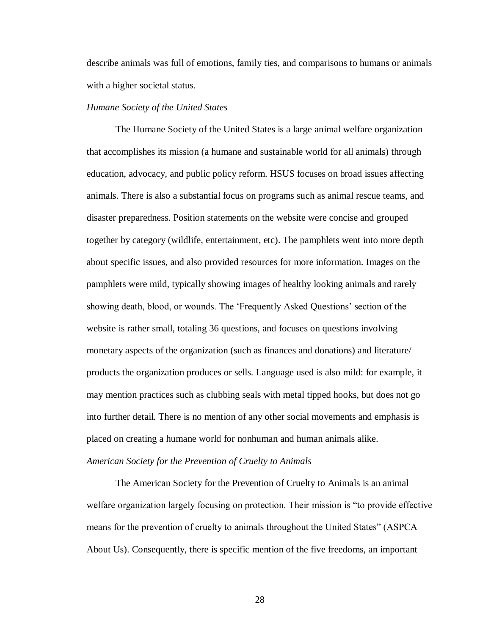describe animals was full of emotions, family ties, and comparisons to humans or animals with a higher societal status.

# *Humane Society of the United States*

The Humane Society of the United States is a large animal welfare organization that accomplishes its mission (a humane and sustainable world for all animals) through education, advocacy, and public policy reform. HSUS focuses on broad issues affecting animals. There is also a substantial focus on programs such as animal rescue teams, and disaster preparedness. Position statements on the website were concise and grouped together by category (wildlife, entertainment, etc). The pamphlets went into more depth about specific issues, and also provided resources for more information. Images on the pamphlets were mild, typically showing images of healthy looking animals and rarely showing death, blood, or wounds. The 'Frequently Asked Questions' section of the website is rather small, totaling 36 questions, and focuses on questions involving monetary aspects of the organization (such as finances and donations) and literature/ products the organization produces or sells. Language used is also mild: for example, it may mention practices such as clubbing seals with metal tipped hooks, but does not go into further detail. There is no mention of any other social movements and emphasis is placed on creating a humane world for nonhuman and human animals alike. *American Society for the Prevention of Cruelty to Animals*

The American Society for the Prevention of Cruelty to Animals is an animal welfare organization largely focusing on protection. Their mission is "to provide effective means for the prevention of cruelty to animals throughout the United States" (ASPCA About Us). Consequently, there is specific mention of the five freedoms, an important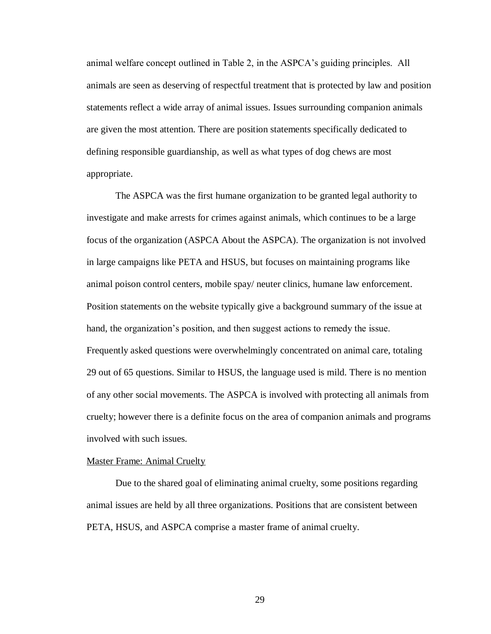animal welfare concept outlined in Table 2, in the ASPCA's guiding principles. All animals are seen as deserving of respectful treatment that is protected by law and position statements reflect a wide array of animal issues. Issues surrounding companion animals are given the most attention. There are position statements specifically dedicated to defining responsible guardianship, as well as what types of dog chews are most appropriate.

The ASPCA was the first humane organization to be granted legal authority to investigate and make arrests for crimes against animals, which continues to be a large focus of the organization (ASPCA About the ASPCA). The organization is not involved in large campaigns like PETA and HSUS, but focuses on maintaining programs like animal poison control centers, mobile spay/ neuter clinics, humane law enforcement. Position statements on the website typically give a background summary of the issue at hand, the organization's position, and then suggest actions to remedy the issue. Frequently asked questions were overwhelmingly concentrated on animal care, totaling 29 out of 65 questions. Similar to HSUS, the language used is mild. There is no mention of any other social movements. The ASPCA is involved with protecting all animals from cruelty; however there is a definite focus on the area of companion animals and programs involved with such issues.

#### Master Frame: Animal Cruelty

Due to the shared goal of eliminating animal cruelty, some positions regarding animal issues are held by all three organizations. Positions that are consistent between PETA, HSUS, and ASPCA comprise a master frame of animal cruelty.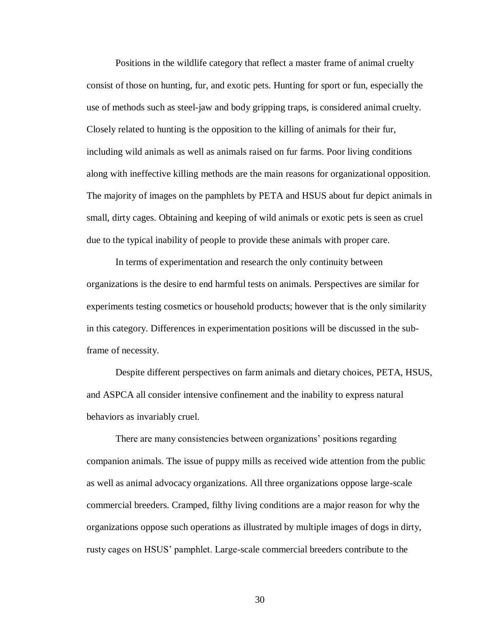Positions in the wildlife category that reflect a master frame of animal cruelty consist of those on hunting, fur, and exotic pets. Hunting for sport or fun, especially the use of methods such as steel-jaw and body gripping traps, is considered animal cruelty. Closely related to hunting is the opposition to the killing of animals for their fur, including wild animals as well as animals raised on fur farms. Poor living conditions along with ineffective killing methods are the main reasons for organizational opposition. The majority of images on the pamphlets by PETA and HSUS about fur depict animals in small, dirty cages. Obtaining and keeping of wild animals or exotic pets is seen as cruel due to the typical inability of people to provide these animals with proper care.

In terms of experimentation and research the only continuity between organizations is the desire to end harmful tests on animals. Perspectives are similar for experiments testing cosmetics or household products; however that is the only similarity in this category. Differences in experimentation positions will be discussed in the subframe of necessity.

Despite different perspectives on farm animals and dietary choices, PETA, HSUS, and ASPCA all consider intensive confinement and the inability to express natural behaviors as invariably cruel.

There are many consistencies between organizations' positions regarding companion animals. The issue of puppy mills as received wide attention from the public as well as animal advocacy organizations. All three organizations oppose large-scale commercial breeders. Cramped, filthy living conditions are a major reason for why the organizations oppose such operations as illustrated by multiple images of dogs in dirty, rusty cages on HSUS' pamphlet. Large-scale commercial breeders contribute to the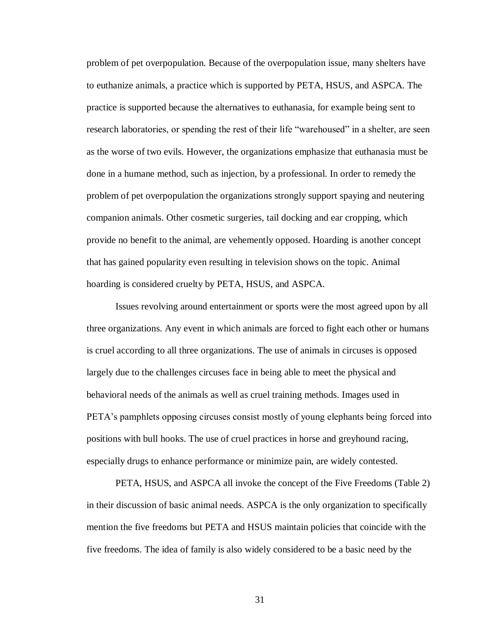problem of pet overpopulation. Because of the overpopulation issue, many shelters have to euthanize animals, a practice which is supported by PETA, HSUS, and ASPCA. The practice is supported because the alternatives to euthanasia, for example being sent to research laboratories, or spending the rest of their life "warehoused" in a shelter, are seen as the worse of two evils. However, the organizations emphasize that euthanasia must be done in a humane method, such as injection, by a professional. In order to remedy the problem of pet overpopulation the organizations strongly support spaying and neutering companion animals. Other cosmetic surgeries, tail docking and ear cropping, which provide no benefit to the animal, are vehemently opposed. Hoarding is another concept that has gained popularity even resulting in television shows on the topic. Animal hoarding is considered cruelty by PETA, HSUS, and ASPCA.

Issues revolving around entertainment or sports were the most agreed upon by all three organizations. Any event in which animals are forced to fight each other or humans is cruel according to all three organizations. The use of animals in circuses is opposed largely due to the challenges circuses face in being able to meet the physical and behavioral needs of the animals as well as cruel training methods. Images used in PETA's pamphlets opposing circuses consist mostly of young elephants being forced into positions with bull hooks. The use of cruel practices in horse and greyhound racing, especially drugs to enhance performance or minimize pain, are widely contested.

PETA, HSUS, and ASPCA all invoke the concept of the Five Freedoms (Table 2) in their discussion of basic animal needs. ASPCA is the only organization to specifically mention the five freedoms but PETA and HSUS maintain policies that coincide with the five freedoms. The idea of family is also widely considered to be a basic need by the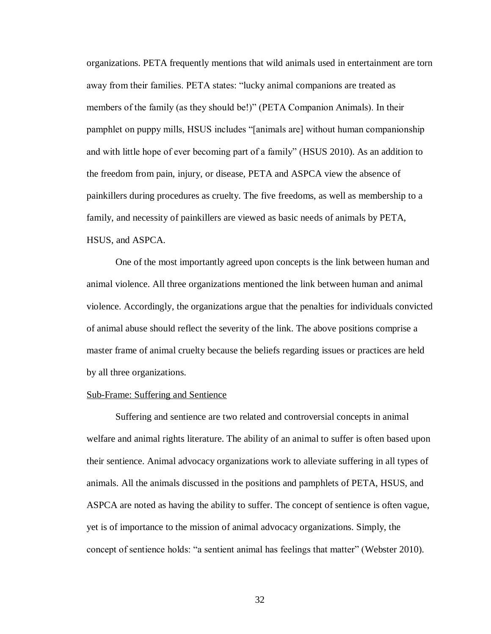organizations. PETA frequently mentions that wild animals used in entertainment are torn away from their families. PETA states: "lucky animal companions are treated as members of the family (as they should be!)" (PETA Companion Animals). In their pamphlet on puppy mills, HSUS includes "[animals are] without human companionship and with little hope of ever becoming part of a family" (HSUS 2010). As an addition to the freedom from pain, injury, or disease, PETA and ASPCA view the absence of painkillers during procedures as cruelty. The five freedoms, as well as membership to a family, and necessity of painkillers are viewed as basic needs of animals by PETA, HSUS, and ASPCA.

One of the most importantly agreed upon concepts is the link between human and animal violence. All three organizations mentioned the link between human and animal violence. Accordingly, the organizations argue that the penalties for individuals convicted of animal abuse should reflect the severity of the link. The above positions comprise a master frame of animal cruelty because the beliefs regarding issues or practices are held by all three organizations.

#### Sub-Frame: Suffering and Sentience

Suffering and sentience are two related and controversial concepts in animal welfare and animal rights literature. The ability of an animal to suffer is often based upon their sentience. Animal advocacy organizations work to alleviate suffering in all types of animals. All the animals discussed in the positions and pamphlets of PETA, HSUS, and ASPCA are noted as having the ability to suffer. The concept of sentience is often vague, yet is of importance to the mission of animal advocacy organizations. Simply, the concept of sentience holds: "a sentient animal has feelings that matter" (Webster 2010).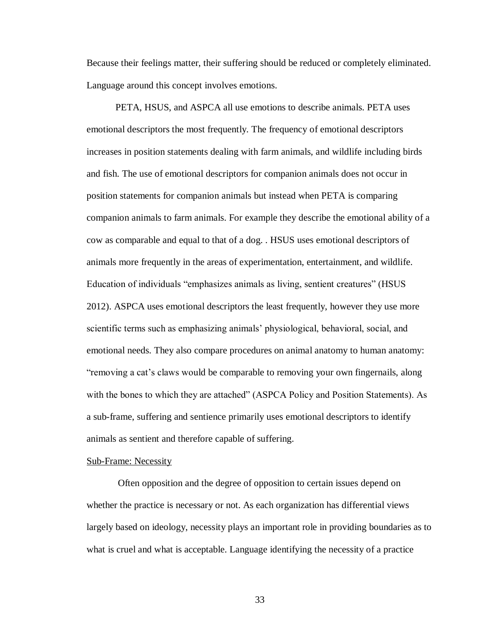Because their feelings matter, their suffering should be reduced or completely eliminated. Language around this concept involves emotions.

PETA, HSUS, and ASPCA all use emotions to describe animals. PETA uses emotional descriptors the most frequently. The frequency of emotional descriptors increases in position statements dealing with farm animals, and wildlife including birds and fish. The use of emotional descriptors for companion animals does not occur in position statements for companion animals but instead when PETA is comparing companion animals to farm animals. For example they describe the emotional ability of a cow as comparable and equal to that of a dog. . HSUS uses emotional descriptors of animals more frequently in the areas of experimentation, entertainment, and wildlife. Education of individuals "emphasizes animals as living, sentient creatures" (HSUS 2012). ASPCA uses emotional descriptors the least frequently, however they use more scientific terms such as emphasizing animals' physiological, behavioral, social, and emotional needs. They also compare procedures on animal anatomy to human anatomy: "removing a cat's claws would be comparable to removing your own fingernails, along with the bones to which they are attached" (ASPCA Policy and Position Statements). As a sub-frame, suffering and sentience primarily uses emotional descriptors to identify animals as sentient and therefore capable of suffering.

#### Sub-Frame: Necessity

Often opposition and the degree of opposition to certain issues depend on whether the practice is necessary or not. As each organization has differential views largely based on ideology, necessity plays an important role in providing boundaries as to what is cruel and what is acceptable. Language identifying the necessity of a practice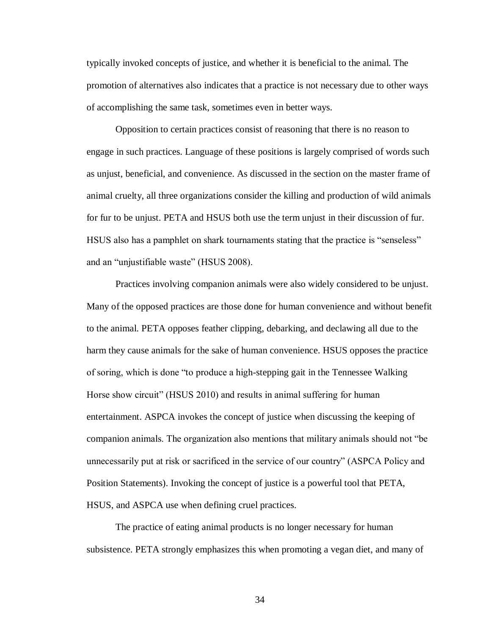typically invoked concepts of justice, and whether it is beneficial to the animal. The promotion of alternatives also indicates that a practice is not necessary due to other ways of accomplishing the same task, sometimes even in better ways.

Opposition to certain practices consist of reasoning that there is no reason to engage in such practices. Language of these positions is largely comprised of words such as unjust, beneficial, and convenience. As discussed in the section on the master frame of animal cruelty, all three organizations consider the killing and production of wild animals for fur to be unjust. PETA and HSUS both use the term unjust in their discussion of fur. HSUS also has a pamphlet on shark tournaments stating that the practice is "senseless" and an "unjustifiable waste" (HSUS 2008).

Practices involving companion animals were also widely considered to be unjust. Many of the opposed practices are those done for human convenience and without benefit to the animal. PETA opposes feather clipping, debarking, and declawing all due to the harm they cause animals for the sake of human convenience. HSUS opposes the practice of soring, which is done "to produce a high-stepping gait in the Tennessee Walking Horse show circuit" (HSUS 2010) and results in animal suffering for human entertainment. ASPCA invokes the concept of justice when discussing the keeping of companion animals. The organization also mentions that military animals should not "be unnecessarily put at risk or sacrificed in the service of our country" (ASPCA Policy and Position Statements). Invoking the concept of justice is a powerful tool that PETA, HSUS, and ASPCA use when defining cruel practices.

The practice of eating animal products is no longer necessary for human subsistence. PETA strongly emphasizes this when promoting a vegan diet, and many of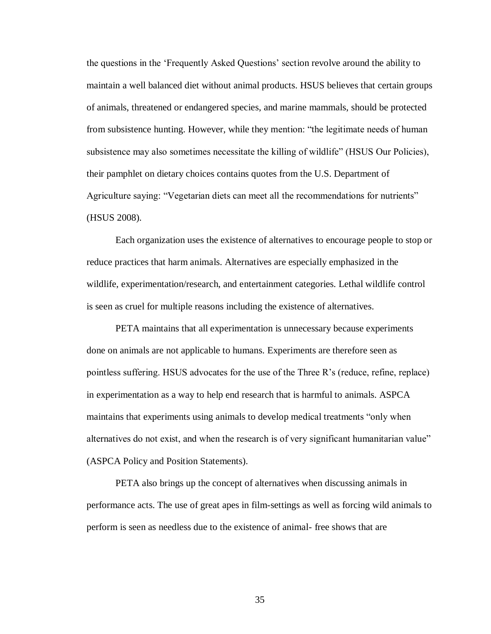the questions in the 'Frequently Asked Questions' section revolve around the ability to maintain a well balanced diet without animal products. HSUS believes that certain groups of animals, threatened or endangered species, and marine mammals, should be protected from subsistence hunting. However, while they mention: "the legitimate needs of human subsistence may also sometimes necessitate the killing of wildlife" (HSUS Our Policies), their pamphlet on dietary choices contains quotes from the U.S. Department of Agriculture saying: "Vegetarian diets can meet all the recommendations for nutrients" (HSUS 2008).

Each organization uses the existence of alternatives to encourage people to stop or reduce practices that harm animals. Alternatives are especially emphasized in the wildlife, experimentation/research, and entertainment categories. Lethal wildlife control is seen as cruel for multiple reasons including the existence of alternatives.

PETA maintains that all experimentation is unnecessary because experiments done on animals are not applicable to humans. Experiments are therefore seen as pointless suffering. HSUS advocates for the use of the Three R's (reduce, refine, replace) in experimentation as a way to help end research that is harmful to animals. ASPCA maintains that experiments using animals to develop medical treatments "only when alternatives do not exist, and when the research is of very significant humanitarian value" (ASPCA Policy and Position Statements).

PETA also brings up the concept of alternatives when discussing animals in performance acts. The use of great apes in film-settings as well as forcing wild animals to perform is seen as needless due to the existence of animal- free shows that are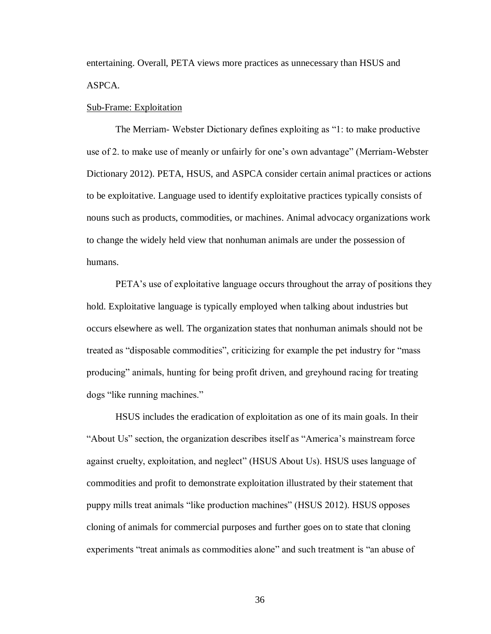entertaining. Overall, PETA views more practices as unnecessary than HSUS and ASPCA.

#### Sub-Frame: Exploitation

The Merriam- Webster Dictionary defines exploiting as "1: to make productive use of 2. to make use of meanly or unfairly for one's own advantage" (Merriam-Webster Dictionary 2012). PETA, HSUS, and ASPCA consider certain animal practices or actions to be exploitative. Language used to identify exploitative practices typically consists of nouns such as products, commodities, or machines. Animal advocacy organizations work to change the widely held view that nonhuman animals are under the possession of humans.

PETA's use of exploitative language occurs throughout the array of positions they hold. Exploitative language is typically employed when talking about industries but occurs elsewhere as well. The organization states that nonhuman animals should not be treated as "disposable commodities", criticizing for example the pet industry for "mass producing" animals, hunting for being profit driven, and greyhound racing for treating dogs "like running machines."

HSUS includes the eradication of exploitation as one of its main goals. In their "About Us" section, the organization describes itself as "America's mainstream force against cruelty, exploitation, and neglect" (HSUS About Us). HSUS uses language of commodities and profit to demonstrate exploitation illustrated by their statement that puppy mills treat animals "like production machines" (HSUS 2012). HSUS opposes cloning of animals for commercial purposes and further goes on to state that cloning experiments "treat animals as commodities alone" and such treatment is "an abuse of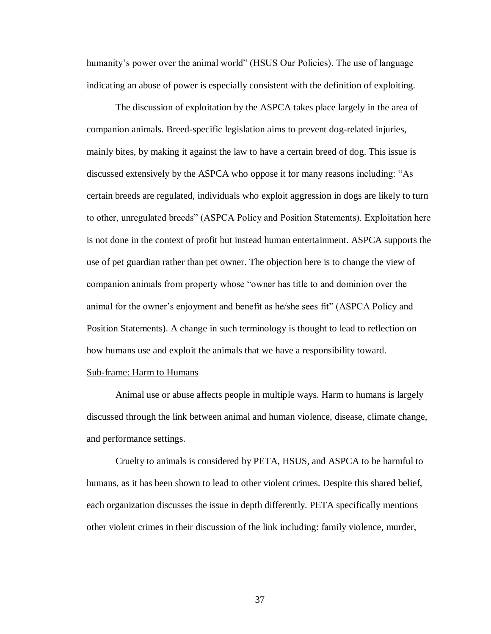humanity's power over the animal world" (HSUS Our Policies). The use of language indicating an abuse of power is especially consistent with the definition of exploiting.

The discussion of exploitation by the ASPCA takes place largely in the area of companion animals. Breed-specific legislation aims to prevent dog-related injuries, mainly bites, by making it against the law to have a certain breed of dog. This issue is discussed extensively by the ASPCA who oppose it for many reasons including: "As certain breeds are regulated, individuals who exploit aggression in dogs are likely to turn to other, unregulated breeds" (ASPCA Policy and Position Statements). Exploitation here is not done in the context of profit but instead human entertainment. ASPCA supports the use of pet guardian rather than pet owner. The objection here is to change the view of companion animals from property whose "owner has title to and dominion over the animal for the owner's enjoyment and benefit as he/she sees fit" (ASPCA Policy and Position Statements). A change in such terminology is thought to lead to reflection on how humans use and exploit the animals that we have a responsibility toward.

## Sub-frame: Harm to Humans

Animal use or abuse affects people in multiple ways. Harm to humans is largely discussed through the link between animal and human violence, disease, climate change, and performance settings.

Cruelty to animals is considered by PETA, HSUS, and ASPCA to be harmful to humans, as it has been shown to lead to other violent crimes. Despite this shared belief, each organization discusses the issue in depth differently. PETA specifically mentions other violent crimes in their discussion of the link including: family violence, murder,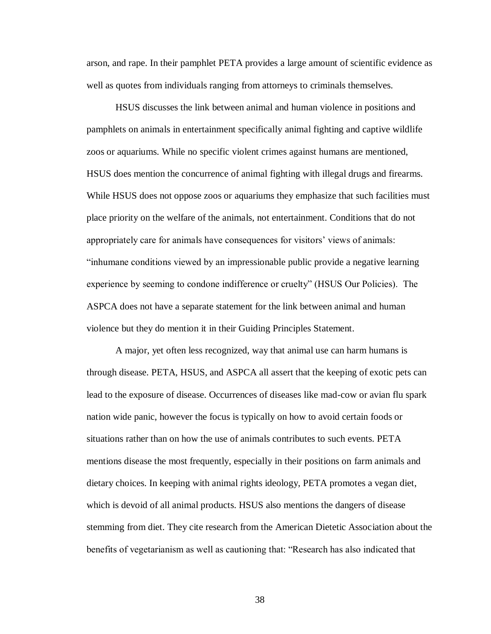arson, and rape. In their pamphlet PETA provides a large amount of scientific evidence as well as quotes from individuals ranging from attorneys to criminals themselves.

HSUS discusses the link between animal and human violence in positions and pamphlets on animals in entertainment specifically animal fighting and captive wildlife zoos or aquariums. While no specific violent crimes against humans are mentioned, HSUS does mention the concurrence of animal fighting with illegal drugs and firearms. While HSUS does not oppose zoos or aquariums they emphasize that such facilities must place priority on the welfare of the animals, not entertainment. Conditions that do not appropriately care for animals have consequences for visitors' views of animals: "inhumane conditions viewed by an impressionable public provide a negative learning experience by seeming to condone indifference or cruelty" (HSUS Our Policies). The ASPCA does not have a separate statement for the link between animal and human violence but they do mention it in their Guiding Principles Statement.

A major, yet often less recognized, way that animal use can harm humans is through disease. PETA, HSUS, and ASPCA all assert that the keeping of exotic pets can lead to the exposure of disease. Occurrences of diseases like mad-cow or avian flu spark nation wide panic, however the focus is typically on how to avoid certain foods or situations rather than on how the use of animals contributes to such events. PETA mentions disease the most frequently, especially in their positions on farm animals and dietary choices. In keeping with animal rights ideology, PETA promotes a vegan diet, which is devoid of all animal products. HSUS also mentions the dangers of disease stemming from diet. They cite research from the American Dietetic Association about the benefits of vegetarianism as well as cautioning that: "Research has also indicated that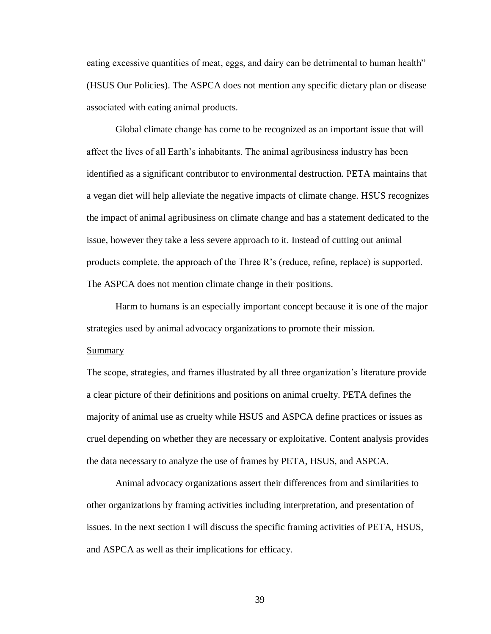eating excessive quantities of meat, eggs, and dairy can be detrimental to human health" (HSUS Our Policies). The ASPCA does not mention any specific dietary plan or disease associated with eating animal products.

Global climate change has come to be recognized as an important issue that will affect the lives of all Earth's inhabitants. The animal agribusiness industry has been identified as a significant contributor to environmental destruction. PETA maintains that a vegan diet will help alleviate the negative impacts of climate change. HSUS recognizes the impact of animal agribusiness on climate change and has a statement dedicated to the issue, however they take a less severe approach to it. Instead of cutting out animal products complete, the approach of the Three R's (reduce, refine, replace) is supported. The ASPCA does not mention climate change in their positions.

Harm to humans is an especially important concept because it is one of the major strategies used by animal advocacy organizations to promote their mission.

#### **Summary**

The scope, strategies, and frames illustrated by all three organization's literature provide a clear picture of their definitions and positions on animal cruelty. PETA defines the majority of animal use as cruelty while HSUS and ASPCA define practices or issues as cruel depending on whether they are necessary or exploitative. Content analysis provides the data necessary to analyze the use of frames by PETA, HSUS, and ASPCA.

Animal advocacy organizations assert their differences from and similarities to other organizations by framing activities including interpretation, and presentation of issues. In the next section I will discuss the specific framing activities of PETA, HSUS, and ASPCA as well as their implications for efficacy.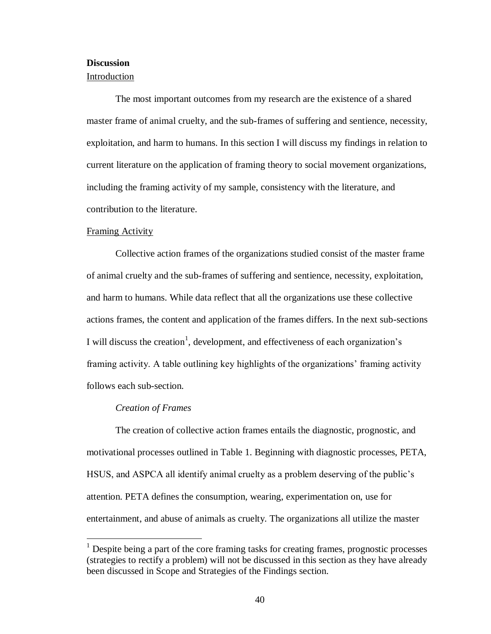## **Discussion**

## Introduction

The most important outcomes from my research are the existence of a shared master frame of animal cruelty, and the sub-frames of suffering and sentience, necessity, exploitation, and harm to humans. In this section I will discuss my findings in relation to current literature on the application of framing theory to social movement organizations, including the framing activity of my sample, consistency with the literature, and contribution to the literature.

#### Framing Activity

Collective action frames of the organizations studied consist of the master frame of animal cruelty and the sub-frames of suffering and sentience, necessity, exploitation, and harm to humans. While data reflect that all the organizations use these collective actions frames, the content and application of the frames differs. In the next sub-sections I will discuss the creation<sup>1</sup>, development, and effectiveness of each organization's framing activity. A table outlining key highlights of the organizations' framing activity follows each sub-section.

#### *Creation of Frames*

 $\overline{a}$ 

The creation of collective action frames entails the diagnostic, prognostic, and motivational processes outlined in Table 1. Beginning with diagnostic processes, PETA, HSUS, and ASPCA all identify animal cruelty as a problem deserving of the public's attention. PETA defines the consumption, wearing, experimentation on, use for entertainment, and abuse of animals as cruelty. The organizations all utilize the master

<sup>&</sup>lt;sup>1</sup> Despite being a part of the core framing tasks for creating frames, prognostic processes (strategies to rectify a problem) will not be discussed in this section as they have already been discussed in Scope and Strategies of the Findings section.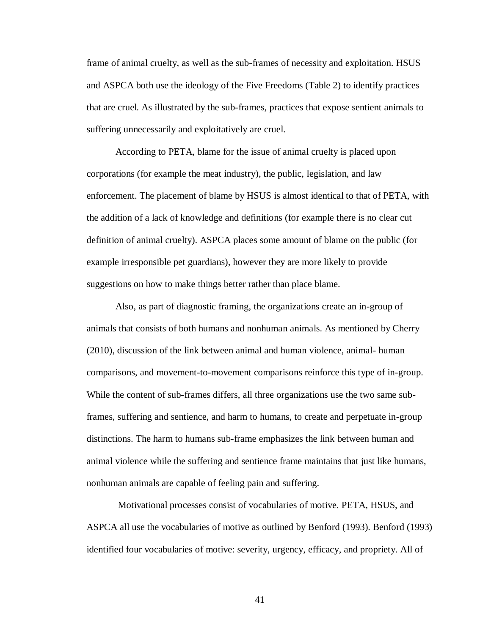frame of animal cruelty, as well as the sub-frames of necessity and exploitation. HSUS and ASPCA both use the ideology of the Five Freedoms (Table 2) to identify practices that are cruel. As illustrated by the sub-frames, practices that expose sentient animals to suffering unnecessarily and exploitatively are cruel.

According to PETA, blame for the issue of animal cruelty is placed upon corporations (for example the meat industry), the public, legislation, and law enforcement. The placement of blame by HSUS is almost identical to that of PETA, with the addition of a lack of knowledge and definitions (for example there is no clear cut definition of animal cruelty). ASPCA places some amount of blame on the public (for example irresponsible pet guardians), however they are more likely to provide suggestions on how to make things better rather than place blame.

Also, as part of diagnostic framing, the organizations create an in-group of animals that consists of both humans and nonhuman animals. As mentioned by Cherry (2010), discussion of the link between animal and human violence, animal- human comparisons, and movement-to-movement comparisons reinforce this type of in-group. While the content of sub-frames differs, all three organizations use the two same subframes, suffering and sentience, and harm to humans, to create and perpetuate in-group distinctions. The harm to humans sub-frame emphasizes the link between human and animal violence while the suffering and sentience frame maintains that just like humans, nonhuman animals are capable of feeling pain and suffering.

Motivational processes consist of vocabularies of motive. PETA, HSUS, and ASPCA all use the vocabularies of motive as outlined by Benford (1993). Benford (1993) identified four vocabularies of motive: severity, urgency, efficacy, and propriety. All of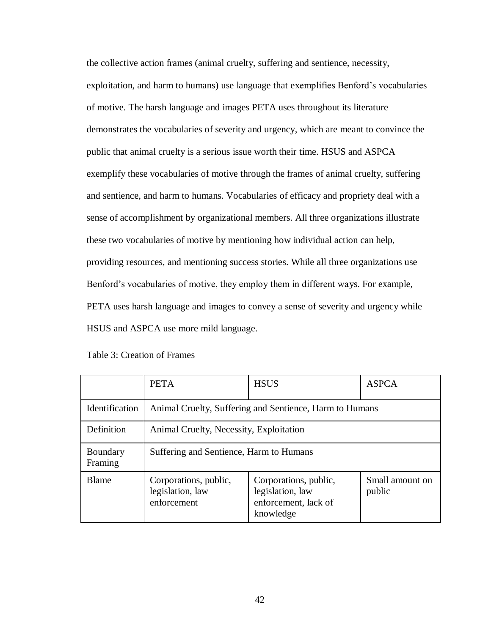the collective action frames (animal cruelty, suffering and sentience, necessity, exploitation, and harm to humans) use language that exemplifies Benford's vocabularies of motive. The harsh language and images PETA uses throughout its literature demonstrates the vocabularies of severity and urgency, which are meant to convince the public that animal cruelty is a serious issue worth their time. HSUS and ASPCA exemplify these vocabularies of motive through the frames of animal cruelty, suffering and sentience, and harm to humans. Vocabularies of efficacy and propriety deal with a sense of accomplishment by organizational members. All three organizations illustrate these two vocabularies of motive by mentioning how individual action can help, providing resources, and mentioning success stories. While all three organizations use Benford's vocabularies of motive, they employ them in different ways. For example, PETA uses harsh language and images to convey a sense of severity and urgency while HSUS and ASPCA use more mild language.

|                       | <b>PETA</b>                                              | <b>HSUS</b>                                                                    | <b>ASPCA</b>              |
|-----------------------|----------------------------------------------------------|--------------------------------------------------------------------------------|---------------------------|
| <b>Identification</b> | Animal Cruelty, Suffering and Sentience, Harm to Humans  |                                                                                |                           |
| Definition            | Animal Cruelty, Necessity, Exploitation                  |                                                                                |                           |
| Boundary<br>Framing   | Suffering and Sentience, Harm to Humans                  |                                                                                |                           |
| <b>Blame</b>          | Corporations, public,<br>legislation, law<br>enforcement | Corporations, public,<br>legislation, law<br>enforcement, lack of<br>knowledge | Small amount on<br>public |

Table 3: Creation of Frames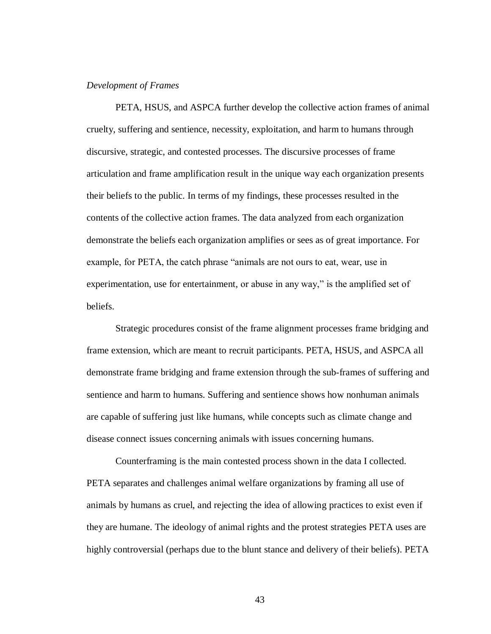### *Development of Frames*

PETA, HSUS, and ASPCA further develop the collective action frames of animal cruelty, suffering and sentience, necessity, exploitation, and harm to humans through discursive, strategic, and contested processes. The discursive processes of frame articulation and frame amplification result in the unique way each organization presents their beliefs to the public. In terms of my findings, these processes resulted in the contents of the collective action frames. The data analyzed from each organization demonstrate the beliefs each organization amplifies or sees as of great importance. For example, for PETA, the catch phrase "animals are not ours to eat, wear, use in experimentation, use for entertainment, or abuse in any way," is the amplified set of beliefs.

Strategic procedures consist of the frame alignment processes frame bridging and frame extension, which are meant to recruit participants. PETA, HSUS, and ASPCA all demonstrate frame bridging and frame extension through the sub-frames of suffering and sentience and harm to humans. Suffering and sentience shows how nonhuman animals are capable of suffering just like humans, while concepts such as climate change and disease connect issues concerning animals with issues concerning humans.

Counterframing is the main contested process shown in the data I collected. PETA separates and challenges animal welfare organizations by framing all use of animals by humans as cruel, and rejecting the idea of allowing practices to exist even if they are humane. The ideology of animal rights and the protest strategies PETA uses are highly controversial (perhaps due to the blunt stance and delivery of their beliefs). PETA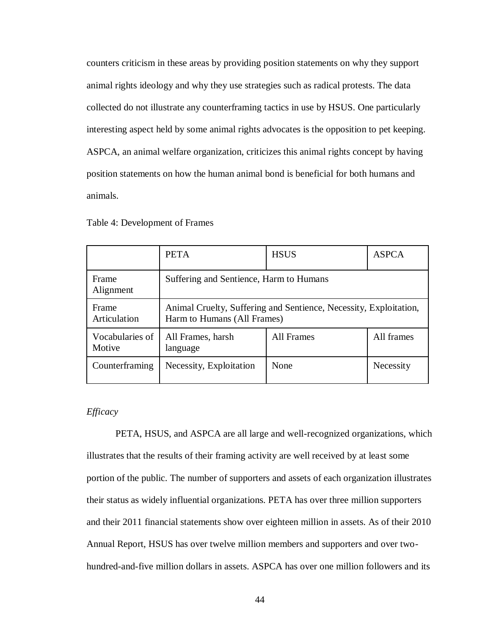counters criticism in these areas by providing position statements on why they support animal rights ideology and why they use strategies such as radical protests. The data collected do not illustrate any counterframing tactics in use by HSUS. One particularly interesting aspect held by some animal rights advocates is the opposition to pet keeping. ASPCA, an animal welfare organization, criticizes this animal rights concept by having position statements on how the human animal bond is beneficial for both humans and animals.

|                           | <b>PETA</b>                                                                                      | <b>HSUS</b> | <b>ASPCA</b> |
|---------------------------|--------------------------------------------------------------------------------------------------|-------------|--------------|
| Frame<br>Alignment        | Suffering and Sentience, Harm to Humans                                                          |             |              |
| Frame<br>Articulation     | Animal Cruelty, Suffering and Sentience, Necessity, Exploitation,<br>Harm to Humans (All Frames) |             |              |
| Vocabularies of<br>Motive | All Frames, harsh<br>language                                                                    | All Frames  | All frames   |
| Counterframing            | Necessity, Exploitation                                                                          | None        | Necessity    |

Table 4: Development of Frames

## *Efficacy*

PETA, HSUS, and ASPCA are all large and well-recognized organizations, which illustrates that the results of their framing activity are well received by at least some portion of the public. The number of supporters and assets of each organization illustrates their status as widely influential organizations. PETA has over three million supporters and their 2011 financial statements show over eighteen million in assets. As of their 2010 Annual Report, HSUS has over twelve million members and supporters and over twohundred-and-five million dollars in assets. ASPCA has over one million followers and its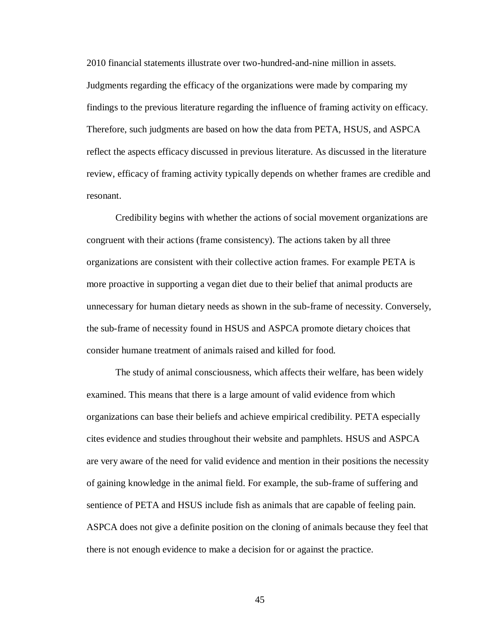2010 financial statements illustrate over two-hundred-and-nine million in assets. Judgments regarding the efficacy of the organizations were made by comparing my findings to the previous literature regarding the influence of framing activity on efficacy. Therefore, such judgments are based on how the data from PETA, HSUS, and ASPCA reflect the aspects efficacy discussed in previous literature. As discussed in the literature review, efficacy of framing activity typically depends on whether frames are credible and resonant.

Credibility begins with whether the actions of social movement organizations are congruent with their actions (frame consistency). The actions taken by all three organizations are consistent with their collective action frames. For example PETA is more proactive in supporting a vegan diet due to their belief that animal products are unnecessary for human dietary needs as shown in the sub-frame of necessity. Conversely, the sub-frame of necessity found in HSUS and ASPCA promote dietary choices that consider humane treatment of animals raised and killed for food.

The study of animal consciousness, which affects their welfare, has been widely examined. This means that there is a large amount of valid evidence from which organizations can base their beliefs and achieve empirical credibility. PETA especially cites evidence and studies throughout their website and pamphlets. HSUS and ASPCA are very aware of the need for valid evidence and mention in their positions the necessity of gaining knowledge in the animal field. For example, the sub-frame of suffering and sentience of PETA and HSUS include fish as animals that are capable of feeling pain. ASPCA does not give a definite position on the cloning of animals because they feel that there is not enough evidence to make a decision for or against the practice.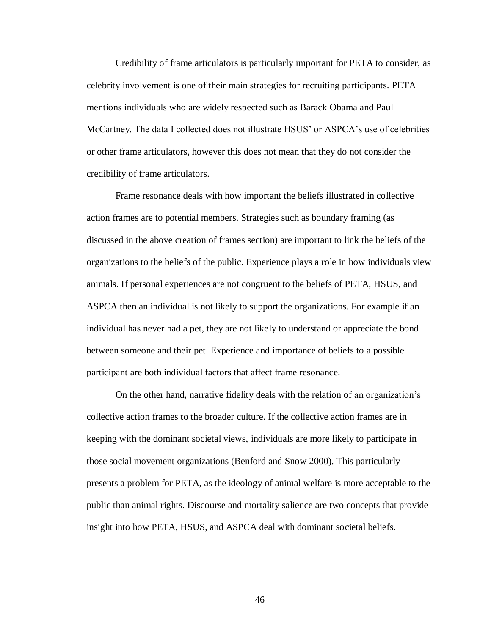Credibility of frame articulators is particularly important for PETA to consider, as celebrity involvement is one of their main strategies for recruiting participants. PETA mentions individuals who are widely respected such as Barack Obama and Paul McCartney. The data I collected does not illustrate HSUS' or ASPCA's use of celebrities or other frame articulators, however this does not mean that they do not consider the credibility of frame articulators.

Frame resonance deals with how important the beliefs illustrated in collective action frames are to potential members. Strategies such as boundary framing (as discussed in the above creation of frames section) are important to link the beliefs of the organizations to the beliefs of the public. Experience plays a role in how individuals view animals. If personal experiences are not congruent to the beliefs of PETA, HSUS, and ASPCA then an individual is not likely to support the organizations. For example if an individual has never had a pet, they are not likely to understand or appreciate the bond between someone and their pet. Experience and importance of beliefs to a possible participant are both individual factors that affect frame resonance.

On the other hand, narrative fidelity deals with the relation of an organization's collective action frames to the broader culture. If the collective action frames are in keeping with the dominant societal views, individuals are more likely to participate in those social movement organizations (Benford and Snow 2000). This particularly presents a problem for PETA, as the ideology of animal welfare is more acceptable to the public than animal rights. Discourse and mortality salience are two concepts that provide insight into how PETA, HSUS, and ASPCA deal with dominant societal beliefs.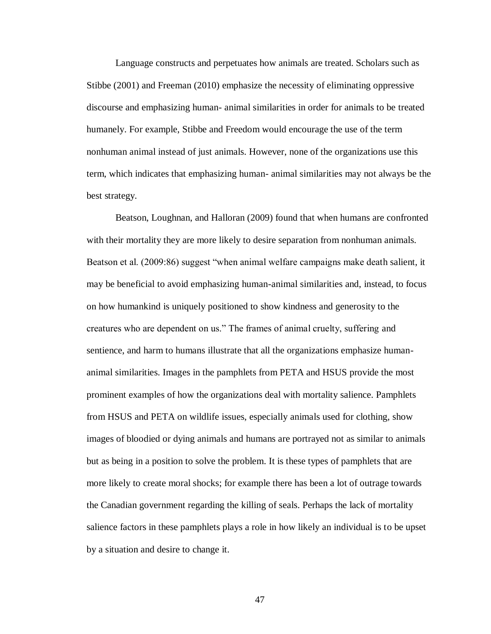Language constructs and perpetuates how animals are treated. Scholars such as Stibbe (2001) and Freeman (2010) emphasize the necessity of eliminating oppressive discourse and emphasizing human- animal similarities in order for animals to be treated humanely. For example, Stibbe and Freedom would encourage the use of the term nonhuman animal instead of just animals. However, none of the organizations use this term, which indicates that emphasizing human- animal similarities may not always be the best strategy.

Beatson, Loughnan, and Halloran (2009) found that when humans are confronted with their mortality they are more likely to desire separation from nonhuman animals. Beatson et al. (2009:86) suggest "when animal welfare campaigns make death salient, it may be beneficial to avoid emphasizing human-animal similarities and, instead, to focus on how humankind is uniquely positioned to show kindness and generosity to the creatures who are dependent on us." The frames of animal cruelty, suffering and sentience, and harm to humans illustrate that all the organizations emphasize humananimal similarities. Images in the pamphlets from PETA and HSUS provide the most prominent examples of how the organizations deal with mortality salience. Pamphlets from HSUS and PETA on wildlife issues, especially animals used for clothing, show images of bloodied or dying animals and humans are portrayed not as similar to animals but as being in a position to solve the problem. It is these types of pamphlets that are more likely to create moral shocks; for example there has been a lot of outrage towards the Canadian government regarding the killing of seals. Perhaps the lack of mortality salience factors in these pamphlets plays a role in how likely an individual is to be upset by a situation and desire to change it.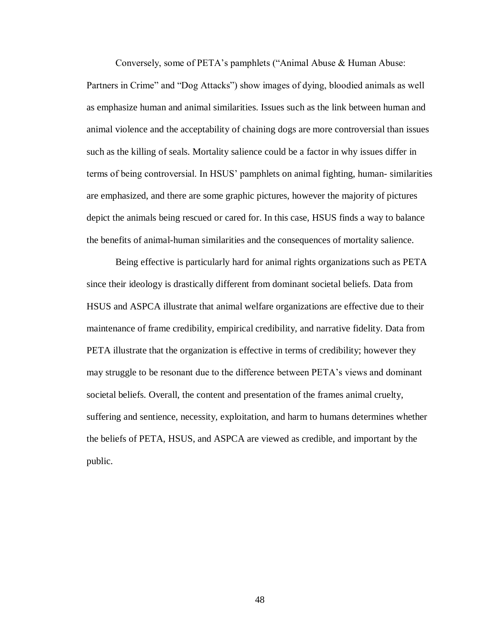Conversely, some of PETA's pamphlets ("Animal Abuse & Human Abuse:

Partners in Crime" and "Dog Attacks") show images of dying, bloodied animals as well as emphasize human and animal similarities. Issues such as the link between human and animal violence and the acceptability of chaining dogs are more controversial than issues such as the killing of seals. Mortality salience could be a factor in why issues differ in terms of being controversial. In HSUS' pamphlets on animal fighting, human- similarities are emphasized, and there are some graphic pictures, however the majority of pictures depict the animals being rescued or cared for. In this case, HSUS finds a way to balance the benefits of animal-human similarities and the consequences of mortality salience.

Being effective is particularly hard for animal rights organizations such as PETA since their ideology is drastically different from dominant societal beliefs. Data from HSUS and ASPCA illustrate that animal welfare organizations are effective due to their maintenance of frame credibility, empirical credibility, and narrative fidelity. Data from PETA illustrate that the organization is effective in terms of credibility; however they may struggle to be resonant due to the difference between PETA's views and dominant societal beliefs. Overall, the content and presentation of the frames animal cruelty, suffering and sentience, necessity, exploitation, and harm to humans determines whether the beliefs of PETA, HSUS, and ASPCA are viewed as credible, and important by the public.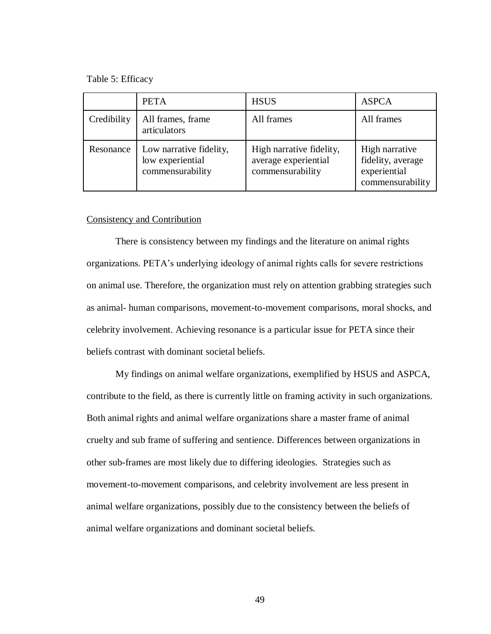Table 5: Efficacy

|             | <b>PETA</b>                                                     | <b>HSUS</b>                                                          | <b>ASPCA</b>                                                            |
|-------------|-----------------------------------------------------------------|----------------------------------------------------------------------|-------------------------------------------------------------------------|
| Credibility | All frames, frame<br>articulators                               | All frames                                                           | All frames                                                              |
| Resonance   | Low narrative fidelity,<br>low experiential<br>commensurability | High narrative fidelity,<br>average experiential<br>commensurability | High narrative<br>fidelity, average<br>experiential<br>commensurability |

#### Consistency and Contribution

There is consistency between my findings and the literature on animal rights organizations. PETA's underlying ideology of animal rights calls for severe restrictions on animal use. Therefore, the organization must rely on attention grabbing strategies such as animal- human comparisons, movement-to-movement comparisons, moral shocks, and celebrity involvement. Achieving resonance is a particular issue for PETA since their beliefs contrast with dominant societal beliefs.

My findings on animal welfare organizations, exemplified by HSUS and ASPCA, contribute to the field, as there is currently little on framing activity in such organizations. Both animal rights and animal welfare organizations share a master frame of animal cruelty and sub frame of suffering and sentience. Differences between organizations in other sub-frames are most likely due to differing ideologies. Strategies such as movement-to-movement comparisons, and celebrity involvement are less present in animal welfare organizations, possibly due to the consistency between the beliefs of animal welfare organizations and dominant societal beliefs.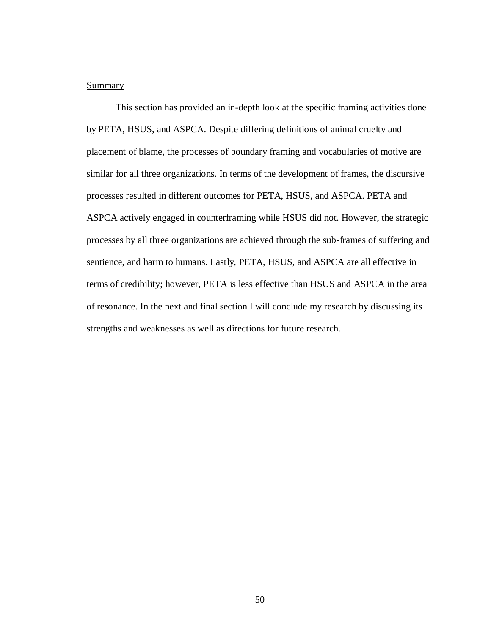## **Summary**

This section has provided an in-depth look at the specific framing activities done by PETA, HSUS, and ASPCA. Despite differing definitions of animal cruelty and placement of blame, the processes of boundary framing and vocabularies of motive are similar for all three organizations. In terms of the development of frames, the discursive processes resulted in different outcomes for PETA, HSUS, and ASPCA. PETA and ASPCA actively engaged in counterframing while HSUS did not. However, the strategic processes by all three organizations are achieved through the sub-frames of suffering and sentience, and harm to humans. Lastly, PETA, HSUS, and ASPCA are all effective in terms of credibility; however, PETA is less effective than HSUS and ASPCA in the area of resonance. In the next and final section I will conclude my research by discussing its strengths and weaknesses as well as directions for future research.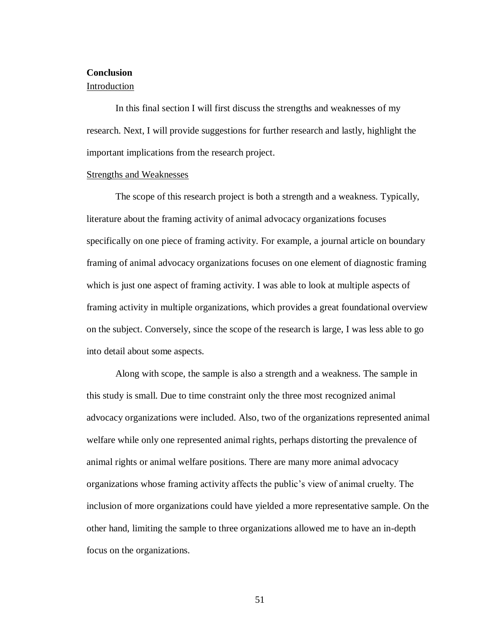# **Conclusion**

## Introduction

In this final section I will first discuss the strengths and weaknesses of my research. Next, I will provide suggestions for further research and lastly, highlight the important implications from the research project.

#### Strengths and Weaknesses

The scope of this research project is both a strength and a weakness. Typically, literature about the framing activity of animal advocacy organizations focuses specifically on one piece of framing activity. For example, a journal article on boundary framing of animal advocacy organizations focuses on one element of diagnostic framing which is just one aspect of framing activity. I was able to look at multiple aspects of framing activity in multiple organizations, which provides a great foundational overview on the subject. Conversely, since the scope of the research is large, I was less able to go into detail about some aspects.

Along with scope, the sample is also a strength and a weakness. The sample in this study is small. Due to time constraint only the three most recognized animal advocacy organizations were included. Also, two of the organizations represented animal welfare while only one represented animal rights, perhaps distorting the prevalence of animal rights or animal welfare positions. There are many more animal advocacy organizations whose framing activity affects the public's view of animal cruelty. The inclusion of more organizations could have yielded a more representative sample. On the other hand, limiting the sample to three organizations allowed me to have an in-depth focus on the organizations.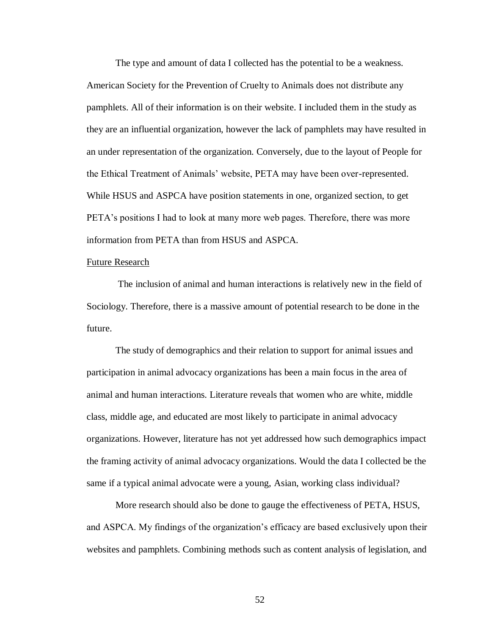The type and amount of data I collected has the potential to be a weakness. American Society for the Prevention of Cruelty to Animals does not distribute any pamphlets. All of their information is on their website. I included them in the study as they are an influential organization, however the lack of pamphlets may have resulted in an under representation of the organization. Conversely, due to the layout of People for the Ethical Treatment of Animals' website, PETA may have been over-represented. While HSUS and ASPCA have position statements in one, organized section, to get PETA's positions I had to look at many more web pages. Therefore, there was more information from PETA than from HSUS and ASPCA.

#### Future Research

The inclusion of animal and human interactions is relatively new in the field of Sociology. Therefore, there is a massive amount of potential research to be done in the future.

The study of demographics and their relation to support for animal issues and participation in animal advocacy organizations has been a main focus in the area of animal and human interactions. Literature reveals that women who are white, middle class, middle age, and educated are most likely to participate in animal advocacy organizations. However, literature has not yet addressed how such demographics impact the framing activity of animal advocacy organizations. Would the data I collected be the same if a typical animal advocate were a young, Asian, working class individual?

More research should also be done to gauge the effectiveness of PETA, HSUS, and ASPCA. My findings of the organization's efficacy are based exclusively upon their websites and pamphlets. Combining methods such as content analysis of legislation, and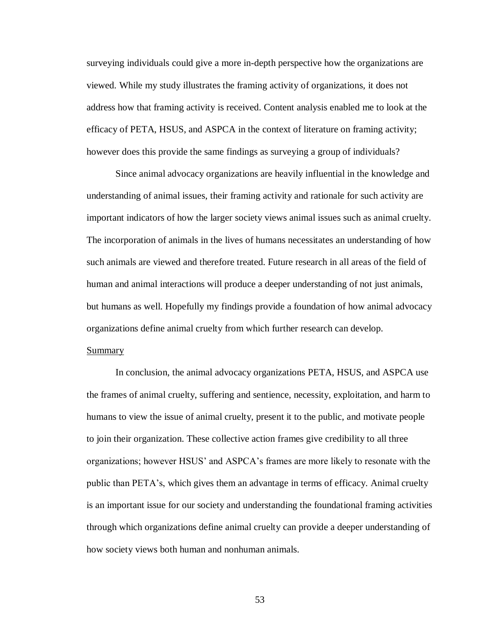surveying individuals could give a more in-depth perspective how the organizations are viewed. While my study illustrates the framing activity of organizations, it does not address how that framing activity is received. Content analysis enabled me to look at the efficacy of PETA, HSUS, and ASPCA in the context of literature on framing activity; however does this provide the same findings as surveying a group of individuals?

Since animal advocacy organizations are heavily influential in the knowledge and understanding of animal issues, their framing activity and rationale for such activity are important indicators of how the larger society views animal issues such as animal cruelty. The incorporation of animals in the lives of humans necessitates an understanding of how such animals are viewed and therefore treated. Future research in all areas of the field of human and animal interactions will produce a deeper understanding of not just animals, but humans as well. Hopefully my findings provide a foundation of how animal advocacy organizations define animal cruelty from which further research can develop.

In conclusion, the animal advocacy organizations PETA, HSUS, and ASPCA use the frames of animal cruelty, suffering and sentience, necessity, exploitation, and harm to humans to view the issue of animal cruelty, present it to the public, and motivate people to join their organization. These collective action frames give credibility to all three organizations; however HSUS' and ASPCA's frames are more likely to resonate with the public than PETA's, which gives them an advantage in terms of efficacy. Animal cruelty is an important issue for our society and understanding the foundational framing activities through which organizations define animal cruelty can provide a deeper understanding of how society views both human and nonhuman animals.

## Summary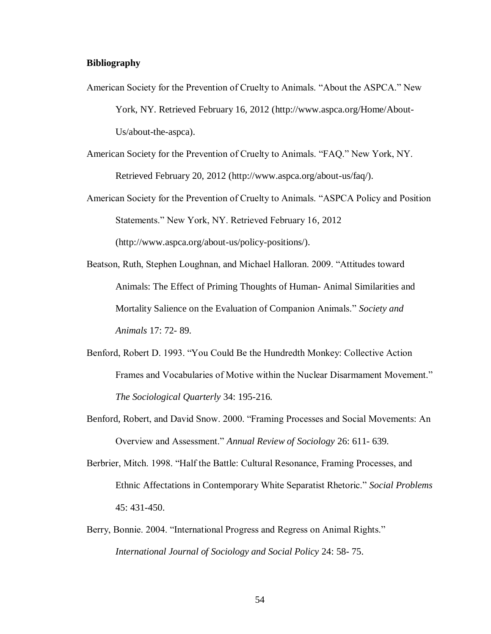### **Bibliography**

- American Society for the Prevention of Cruelty to Animals. "About the ASPCA." New York, NY. Retrieved February 16, 2012 (http://www.aspca.org/Home/About-Us/about-the-aspca).
- American Society for the Prevention of Cruelty to Animals. "FAQ." New York, NY. Retrieved February 20, 2012 (http://www.aspca.org/about-us/faq/).
- American Society for the Prevention of Cruelty to Animals. "ASPCA Policy and Position Statements." New York, NY. Retrieved February 16, 2012 (http://www.aspca.org/about-us/policy-positions/).
- Beatson, Ruth, Stephen Loughnan, and Michael Halloran. 2009. "Attitudes toward Animals: The Effect of Priming Thoughts of Human- Animal Similarities and Mortality Salience on the Evaluation of Companion Animals." *Society and*

*Animals* 17: 72- 89.

- Benford, Robert D. 1993. "You Could Be the Hundredth Monkey: Collective Action Frames and Vocabularies of Motive within the Nuclear Disarmament Movement." *The Sociological Quarterly* 34: 195-216.
- Benford, Robert, and David Snow. 2000. "Framing Processes and Social Movements: An Overview and Assessment." *Annual Review of Sociology* 26: 611- 639.
- Berbrier, Mitch. 1998. "Half the Battle: Cultural Resonance, Framing Processes, and Ethnic Affectations in Contemporary White Separatist Rhetoric." *Social Problems* 45: 431-450.
- Berry, Bonnie. 2004. "International Progress and Regress on Animal Rights." *International Journal of Sociology and Social Policy* 24: 58- 75.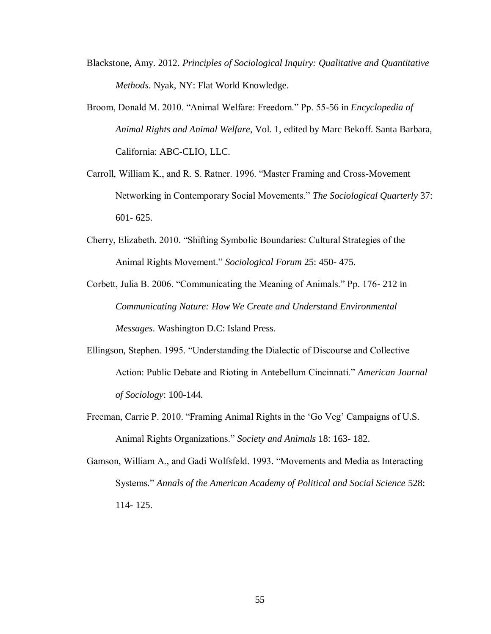- Blackstone, Amy. 2012. *Principles of Sociological Inquiry: Qualitative and Quantitative Methods*. Nyak, NY: Flat World Knowledge.
- Broom, Donald M. 2010. "Animal Welfare: Freedom." Pp. 55-56 in *Encyclopedia of Animal Rights and Animal Welfare*, Vol. 1, edited by Marc Bekoff. Santa Barbara, California: ABC-CLIO, LLC.
- Carroll, William K., and R. S. Ratner. 1996. "Master Framing and Cross-Movement Networking in Contemporary Social Movements." *The Sociological Quarterly* 37: 601- 625.
- Cherry, Elizabeth. 2010. "Shifting Symbolic Boundaries: Cultural Strategies of the Animal Rights Movement." *Sociological Forum* 25: 450- 475.
- Corbett, Julia B. 2006. "Communicating the Meaning of Animals." Pp. 176- 212 in *Communicating Nature: How We Create and Understand Environmental Messages*. Washington D.C: Island Press.
- Ellingson, Stephen. 1995. "Understanding the Dialectic of Discourse and Collective Action: Public Debate and Rioting in Antebellum Cincinnati." *American Journal of Sociology*: 100-144.
- Freeman, Carrie P. 2010. "Framing Animal Rights in the 'Go Veg' Campaigns of U.S. Animal Rights Organizations." *Society and Animals* 18: 163- 182.
- Gamson, William A., and Gadi Wolfsfeld. 1993. "Movements and Media as Interacting Systems." *Annals of the American Academy of Political and Social Science* 528: 114- 125.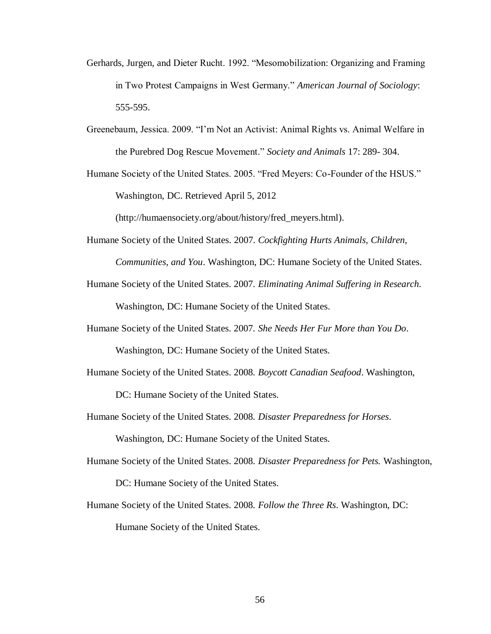- Gerhards, Jurgen, and Dieter Rucht. 1992. "Mesomobilization: Organizing and Framing in Two Protest Campaigns in West Germany." *American Journal of Sociology*: 555-595.
- Greenebaum, Jessica. 2009. "I'm Not an Activist: Animal Rights vs. Animal Welfare in the Purebred Dog Rescue Movement." *Society and Animals* 17: 289- 304.
- Humane Society of the United States. 2005. "Fred Meyers: Co-Founder of the HSUS." Washington, DC. Retrieved April 5, 2012

(http://humaensociety.org/about/history/fred\_meyers.html).

- Humane Society of the United States. 2007. *Cockfighting Hurts Animals, Children, Communities, and You*. Washington, DC: Humane Society of the United States.
- Humane Society of the United States. 2007. *Eliminating Animal Suffering in Research.* Washington, DC: Humane Society of the United States.
- Humane Society of the United States. 2007. *She Needs Her Fur More than You Do*. Washington, DC: Humane Society of the United States.
- Humane Society of the United States. 2008. *Boycott Canadian Seafood*. Washington,

DC: Humane Society of the United States.

Humane Society of the United States. 2008. *Disaster Preparedness for Horses*.

Washington, DC: Humane Society of the United States.

Humane Society of the United States. 2008. *Disaster Preparedness for Pets.* Washington,

DC: Humane Society of the United States.

Humane Society of the United States. 2008. *Follow the Three Rs*. Washington, DC: Humane Society of the United States.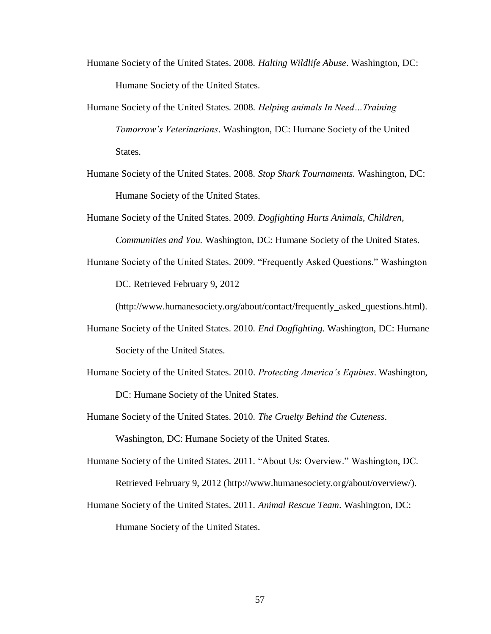- Humane Society of the United States. 2008. *Halting Wildlife Abuse*. Washington, DC: Humane Society of the United States.
- Humane Society of the United States. 2008. *Helping animals In Need…Training Tomorrow's Veterinarians*. Washington, DC: Humane Society of the United States.
- Humane Society of the United States. 2008. *Stop Shark Tournaments.* Washington, DC: Humane Society of the United States.
- Humane Society of the United States. 2009. *Dogfighting Hurts Animals, Children, Communities and You.* Washington, DC: Humane Society of the United States.
- Humane Society of the United States. 2009. "Frequently Asked Questions." Washington DC. Retrieved February 9, 2012

(http://www.humanesociety.org/about/contact/frequently\_asked\_questions.html).

- Humane Society of the United States. 2010. *End Dogfighting*. Washington, DC: Humane Society of the United States.
- Humane Society of the United States. 2010. *Protecting America's Equines*. Washington, DC: Humane Society of the United States.
- Humane Society of the United States. 2010. *The Cruelty Behind the Cuteness*.

Washington, DC: Humane Society of the United States.

- Humane Society of the United States. 2011. "About Us: Overview." Washington, DC. Retrieved February 9, 2012 (http://www.humanesociety.org/about/overview/).
- Humane Society of the United States. 2011. *Animal Rescue Team*. Washington, DC: Humane Society of the United States.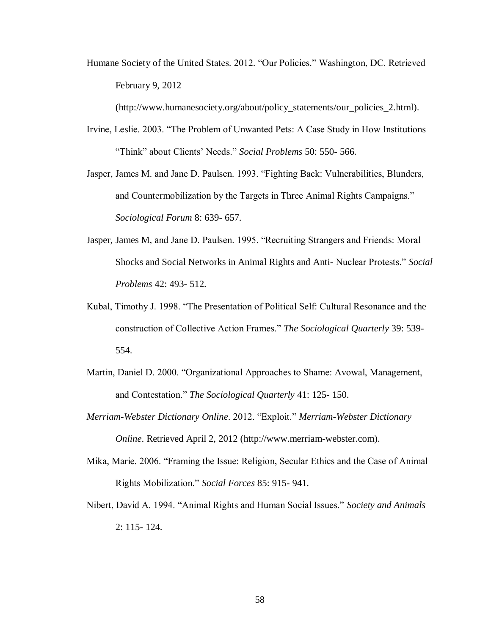Humane Society of the United States. 2012. "Our Policies." Washington, DC. Retrieved February 9, 2012

(http://www.humanesociety.org/about/policy\_statements/our\_policies\_2.html).

- Irvine, Leslie. 2003. "The Problem of Unwanted Pets: A Case Study in How Institutions "Think" about Clients' Needs." *Social Problems* 50: 550- 566.
- Jasper, James M. and Jane D. Paulsen. 1993. "Fighting Back: Vulnerabilities, Blunders, and Countermobilization by the Targets in Three Animal Rights Campaigns." *Sociological Forum* 8: 639- 657.
- Jasper, James M, and Jane D. Paulsen. 1995. "Recruiting Strangers and Friends: Moral Shocks and Social Networks in Animal Rights and Anti- Nuclear Protests." *Social Problems* 42: 493- 512.
- Kubal, Timothy J. 1998. "The Presentation of Political Self: Cultural Resonance and the construction of Collective Action Frames." *The Sociological Quarterly* 39: 539- 554.
- Martin, Daniel D. 2000. "Organizational Approaches to Shame: Avowal, Management, and Contestation." *The Sociological Quarterly* 41: 125- 150.
- *Merriam-Webster Dictionary Online*. 2012. "Exploit." *Merriam-Webster Dictionary Online*. Retrieved April 2, 2012 (http://www.merriam-webster.com).
- Mika, Marie. 2006. "Framing the Issue: Religion, Secular Ethics and the Case of Animal Rights Mobilization." *Social Forces* 85: 915- 941.
- Nibert, David A. 1994. "Animal Rights and Human Social Issues." *Society and Animals* 2: 115- 124.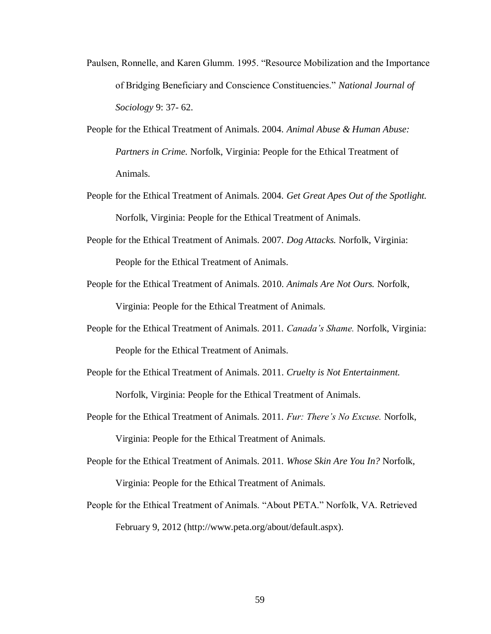- Paulsen, Ronnelle, and Karen Glumm. 1995. "Resource Mobilization and the Importance of Bridging Beneficiary and Conscience Constituencies." *National Journal of Sociology* 9: 37- 62.
- People for the Ethical Treatment of Animals. 2004. *Animal Abuse & Human Abuse: Partners in Crime.* Norfolk, Virginia: People for the Ethical Treatment of Animals.
- People for the Ethical Treatment of Animals. 2004. *Get Great Apes Out of the Spotlight.* Norfolk, Virginia: People for the Ethical Treatment of Animals.
- People for the Ethical Treatment of Animals. 2007. *Dog Attacks.* Norfolk, Virginia: People for the Ethical Treatment of Animals.
- People for the Ethical Treatment of Animals. 2010. *Animals Are Not Ours.* Norfolk, Virginia: People for the Ethical Treatment of Animals.
- People for the Ethical Treatment of Animals. 2011. *Canada's Shame.* Norfolk, Virginia: People for the Ethical Treatment of Animals.
- People for the Ethical Treatment of Animals. 2011. *Cruelty is Not Entertainment.* Norfolk, Virginia: People for the Ethical Treatment of Animals.
- People for the Ethical Treatment of Animals. 2011. *Fur: There's No Excuse.* Norfolk, Virginia: People for the Ethical Treatment of Animals.
- People for the Ethical Treatment of Animals. 2011. *Whose Skin Are You In?* Norfolk, Virginia: People for the Ethical Treatment of Animals.
- People for the Ethical Treatment of Animals. "About PETA." Norfolk, VA. Retrieved February 9, 2012 (http://www.peta.org/about/default.aspx).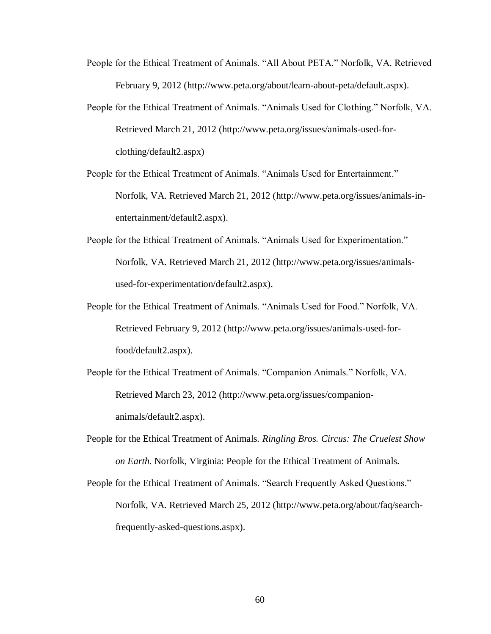- People for the Ethical Treatment of Animals. "All About PETA." Norfolk, VA. Retrieved February 9, 2012 (http://www.peta.org/about/learn-about-peta/default.aspx).
- People for the Ethical Treatment of Animals. "Animals Used for Clothing." Norfolk, VA. Retrieved March 21, 2012 (http://www.peta.org/issues/animals-used-forclothing/default2.aspx)
- People for the Ethical Treatment of Animals. "Animals Used for Entertainment." Norfolk, VA. Retrieved March 21, 2012 (http://www.peta.org/issues/animals-inentertainment/default2.aspx).
- People for the Ethical Treatment of Animals. "Animals Used for Experimentation." Norfolk, VA. Retrieved March 21, 2012 (http://www.peta.org/issues/animalsused-for-experimentation/default2.aspx).
- People for the Ethical Treatment of Animals. "Animals Used for Food." Norfolk, VA. Retrieved February 9, 2012 (http://www.peta.org/issues/animals-used-forfood/default2.aspx).
- People for the Ethical Treatment of Animals. "Companion Animals." Norfolk, VA. Retrieved March 23, 2012 (http://www.peta.org/issues/companionanimals/default2.aspx).
- People for the Ethical Treatment of Animals. *Ringling Bros. Circus: The Cruelest Show on Earth.* Norfolk, Virginia: People for the Ethical Treatment of Animals.
- People for the Ethical Treatment of Animals. "Search Frequently Asked Questions." Norfolk, VA. Retrieved March 25, 2012 (http://www.peta.org/about/faq/searchfrequently-asked-questions.aspx).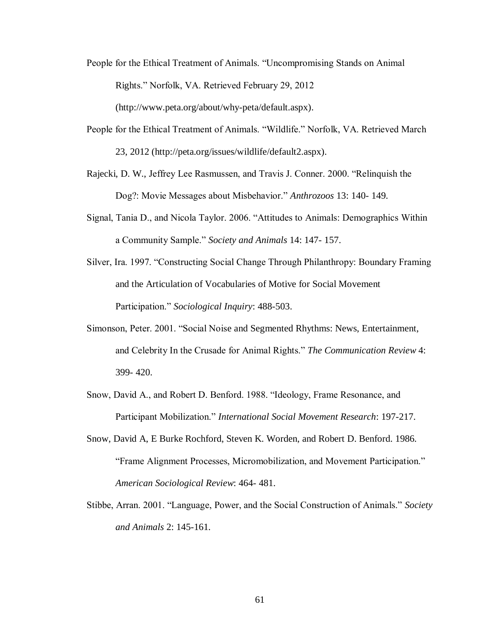- People for the Ethical Treatment of Animals. "Uncompromising Stands on Animal Rights." Norfolk, VA. Retrieved February 29, 2012 (http://www.peta.org/about/why-peta/default.aspx).
- People for the Ethical Treatment of Animals. "Wildlife." Norfolk, VA. Retrieved March 23, 2012 (http://peta.org/issues/wildlife/default2.aspx).
- Rajecki, D. W., Jeffrey Lee Rasmussen, and Travis J. Conner. 2000. "Relinquish the Dog?: Movie Messages about Misbehavior." *Anthrozoos* 13: 140- 149.
- Signal, Tania D., and Nicola Taylor. 2006. "Attitudes to Animals: Demographics Within a Community Sample." *Society and Animals* 14: 147- 157.
- Silver, Ira. 1997. "Constructing Social Change Through Philanthropy: Boundary Framing and the Articulation of Vocabularies of Motive for Social Movement Participation." *Sociological Inquiry*: 488-503.
- Simonson, Peter. 2001. "Social Noise and Segmented Rhythms: News, Entertainment, and Celebrity In the Crusade for Animal Rights." *The Communication Review* 4: 399- 420.
- Snow, David A., and Robert D. Benford. 1988. "Ideology, Frame Resonance, and Participant Mobilization." *International Social Movement Research*: 197-217.
- Snow, David A, E Burke Rochford, Steven K. Worden, and Robert D. Benford. 1986. "Frame Alignment Processes, Micromobilization, and Movement Participation." *American Sociological Review*: 464- 481.
- Stibbe, Arran. 2001. "Language, Power, and the Social Construction of Animals." *Society and Animals* 2: 145-161.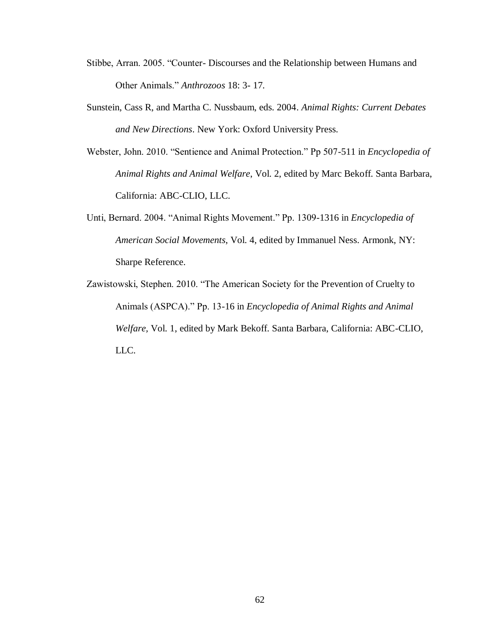- Stibbe, Arran. 2005. "Counter- Discourses and the Relationship between Humans and Other Animals." *Anthrozoos* 18: 3- 17.
- Sunstein, Cass R, and Martha C. Nussbaum, eds. 2004. *Animal Rights: Current Debates and New Directions*. New York: Oxford University Press.
- Webster, John. 2010. "Sentience and Animal Protection." Pp 507-511 in *Encyclopedia of Animal Rights and Animal Welfare*, Vol. 2, edited by Marc Bekoff. Santa Barbara, California: ABC-CLIO, LLC.
- Unti, Bernard. 2004. "Animal Rights Movement." Pp. 1309-1316 in *Encyclopedia of American Social Movements*, Vol. 4, edited by Immanuel Ness. Armonk, NY: Sharpe Reference.
- Zawistowski, Stephen. 2010. "The American Society for the Prevention of Cruelty to Animals (ASPCA)." Pp. 13-16 in *Encyclopedia of Animal Rights and Animal Welfare,* Vol. 1, edited by Mark Bekoff. Santa Barbara, California: ABC-CLIO, LLC.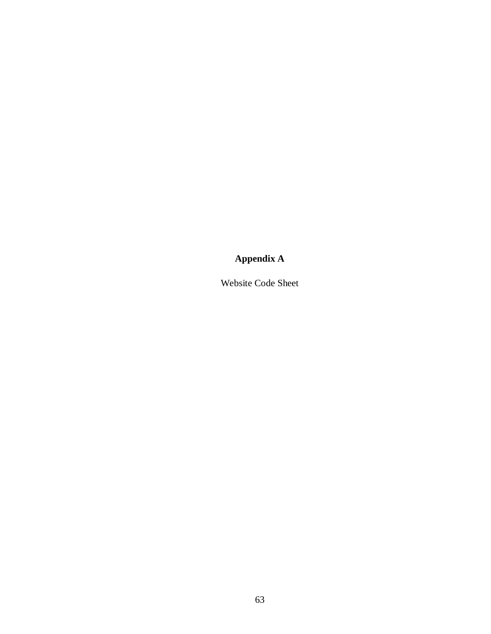# **Appendix A**

Website Code Sheet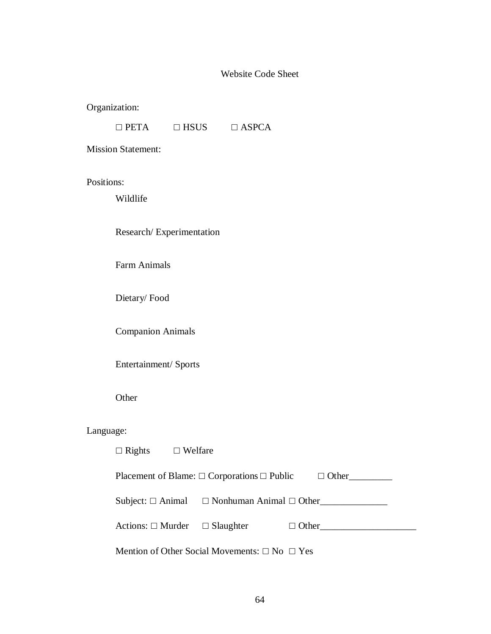# Website Code Sheet

Organization:

|  | $\Box$ PETA | $\Box$ HSUS | $\Box$ ASPCA |
|--|-------------|-------------|--------------|
|--|-------------|-------------|--------------|

Mission Statement:

Positions:

Wildlife

Research/ Experimentation

Farm Animals

Dietary/ Food

Companion Animals

Entertainment/ Sports

Other

# Language:

| $\Box$ Rights $\Box$ Welfare |                                                                    |                                                               |
|------------------------------|--------------------------------------------------------------------|---------------------------------------------------------------|
|                              | Placement of Blame: $\Box$ Corporations $\Box$ Public $\Box$ Other |                                                               |
|                              | Subject: $\Box$ Animal $\Box$ Nonhuman Animal $\Box$ Other         |                                                               |
|                              |                                                                    | Actions: $\square$ Murder $\square$ Slaughter $\square$ Other |
|                              | Mention of Other Social Movements: $\square$ No $\square$ Yes      |                                                               |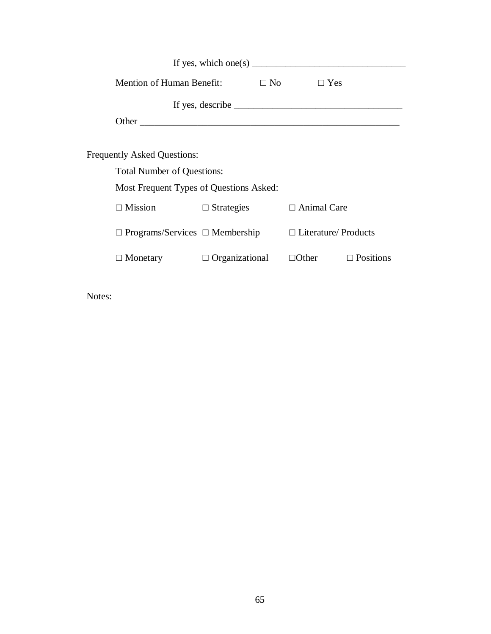|                                            | If yes, which one(s) $\qquad \qquad$ |                             |                  |
|--------------------------------------------|--------------------------------------|-----------------------------|------------------|
| Mention of Human Benefit:                  |                                      | $\Box$ No<br>$\Box$ Yes     |                  |
|                                            |                                      |                             |                  |
|                                            |                                      |                             |                  |
|                                            |                                      |                             |                  |
| <b>Frequently Asked Questions:</b>         |                                      |                             |                  |
| <b>Total Number of Questions:</b>          |                                      |                             |                  |
| Most Frequent Types of Questions Asked:    |                                      |                             |                  |
| $\Box$ Mission                             | $\Box$ Strategies                    | $\Box$ Animal Care          |                  |
| $\Box$ Programs/Services $\Box$ Membership |                                      | $\Box$ Literature/ Products |                  |
| $\Box$ Monetary                            | $\Box$ Organizational                | $\Box$ Other                | $\Box$ Positions |

Notes: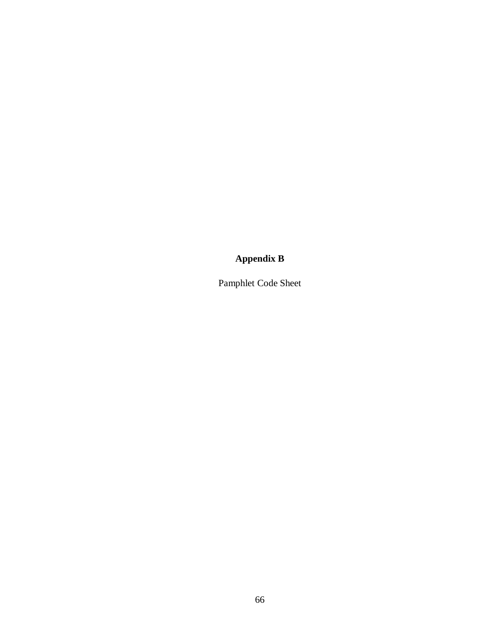## **Appendix B**

Pamphlet Code Sheet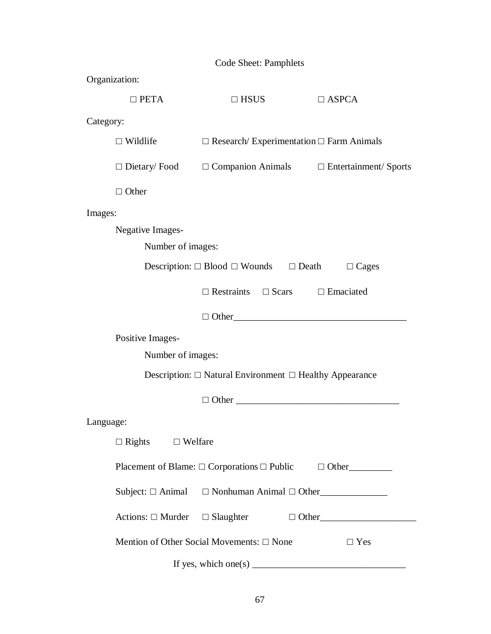| Code Sheet: Pamphlets                                                   |                                                         |                                                                          |              |  |  |  |
|-------------------------------------------------------------------------|---------------------------------------------------------|--------------------------------------------------------------------------|--------------|--|--|--|
| Organization:                                                           |                                                         |                                                                          |              |  |  |  |
|                                                                         | $\square$ PETA                                          | $\Box$ HSUS                                                              | $\Box$ ASPCA |  |  |  |
| Category:                                                               |                                                         |                                                                          |              |  |  |  |
|                                                                         | $\Box$ Wildlife                                         | $\Box$ Research/ Experimentation $\Box$ Farm Animals                     |              |  |  |  |
|                                                                         |                                                         | $\Box$ Dietary/Food $\Box$ Companion Animals $\Box$ Entertainment/Sports |              |  |  |  |
|                                                                         | $\Box$ Other                                            |                                                                          |              |  |  |  |
| Images:                                                                 |                                                         |                                                                          |              |  |  |  |
| <b>Negative Images-</b>                                                 |                                                         |                                                                          |              |  |  |  |
|                                                                         | Number of images:                                       |                                                                          |              |  |  |  |
| Description: $\Box$ Blood $\Box$ Wounds $\Box$ Death<br>$\Box$ Cages    |                                                         |                                                                          |              |  |  |  |
|                                                                         |                                                         | $\Box$ Restraints $\Box$ Scars $\Box$ Emaciated                          |              |  |  |  |
|                                                                         |                                                         | $\Box$ Other                                                             |              |  |  |  |
|                                                                         | Positive Images-                                        |                                                                          |              |  |  |  |
| Number of images:                                                       |                                                         |                                                                          |              |  |  |  |
| Description: $\Box$ Natural Environment $\Box$ Healthy Appearance       |                                                         |                                                                          |              |  |  |  |
|                                                                         |                                                         |                                                                          |              |  |  |  |
| Language:                                                               |                                                         |                                                                          |              |  |  |  |
| $\Box$ Rights $\Box$ Welfare                                            |                                                         |                                                                          |              |  |  |  |
| Placement of Blame: $\Box$ Corporations $\Box$ Public $\Box$ Other      |                                                         |                                                                          |              |  |  |  |
|                                                                         |                                                         | Subject: $\Box$ Animal $\Box$ Nonhuman Animal $\Box$ Other               |              |  |  |  |
|                                                                         |                                                         | Actions: $\Box$ Murder $\Box$ Slaughter $\Box$ Other                     |              |  |  |  |
|                                                                         | Mention of Other Social Movements: □ None<br>$\Box$ Yes |                                                                          |              |  |  |  |
| If yes, which one(s) $\frac{1}{\sqrt{1-\frac{1}{2}} \cdot \frac{1}{2}}$ |                                                         |                                                                          |              |  |  |  |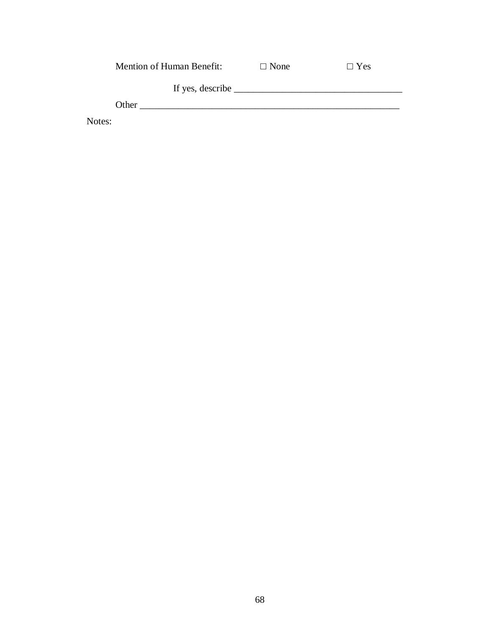|        | <b>Mention of Human Benefit:</b> | $\Box$ None | $\Box$ Yes |
|--------|----------------------------------|-------------|------------|
|        |                                  |             |            |
|        | If yes, describe                 |             |            |
|        | Other                            |             |            |
| Notes: |                                  |             |            |